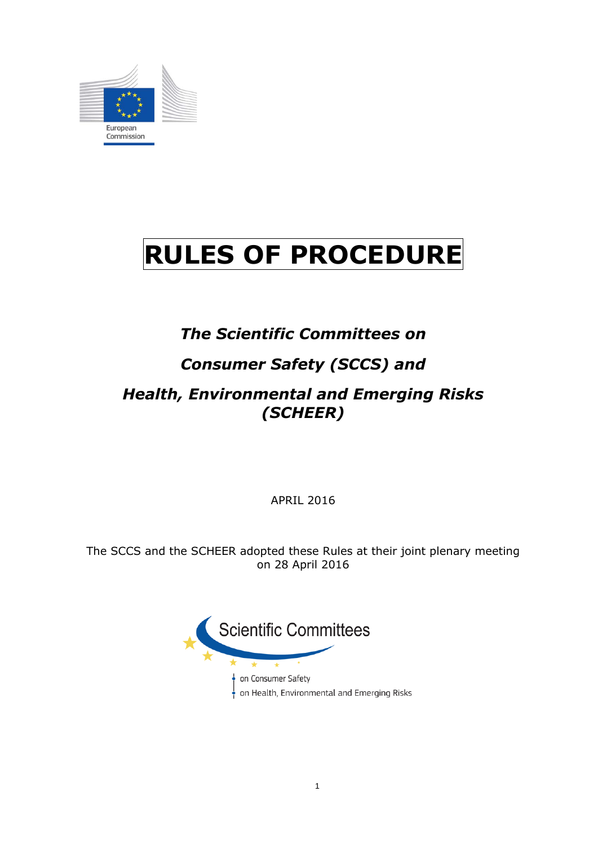

# **RULES OF PROCEDURE**

# *The Scientific Committees on*

# *Consumer Safety (SCCS) and*

# *Health, Environmental and Emerging Risks (SCHEER)*

APRIL 2016

The SCCS and the SCHEER adopted these Rules at their joint plenary meeting on 28 April 2016

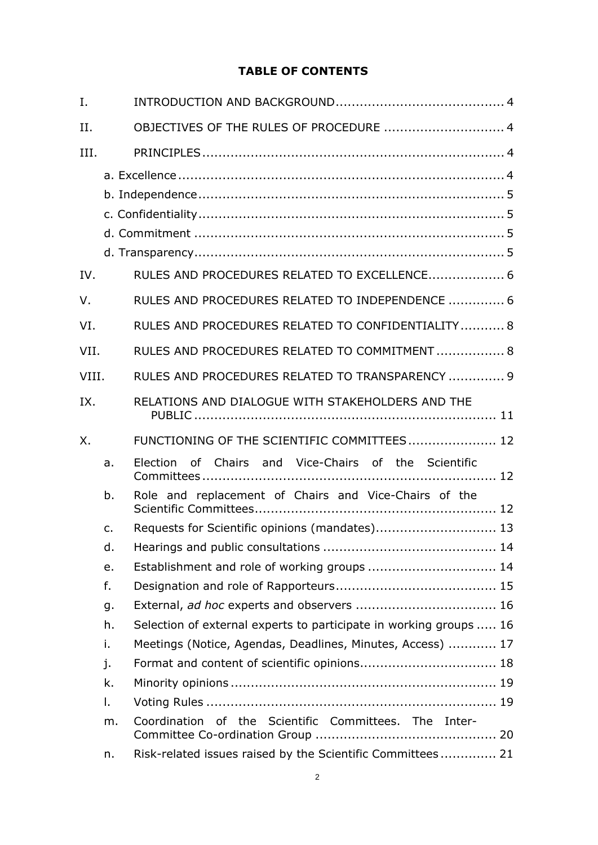# **TABLE OF CONTENTS**

| I.          |                |                                                                    |
|-------------|----------------|--------------------------------------------------------------------|
| II.         |                | OBJECTIVES OF THE RULES OF PROCEDURE  4                            |
| III.        |                |                                                                    |
|             |                |                                                                    |
|             |                |                                                                    |
|             |                |                                                                    |
|             |                |                                                                    |
|             |                |                                                                    |
| IV.         |                | RULES AND PROCEDURES RELATED TO EXCELLENCE 6                       |
| V.          |                | RULES AND PROCEDURES RELATED TO INDEPENDENCE  6                    |
| VI.         |                | RULES AND PROCEDURES RELATED TO CONFIDENTIALITY 8                  |
| VII.        |                | RULES AND PROCEDURES RELATED TO COMMITMENT 8                       |
| VIII.       |                | RULES AND PROCEDURES RELATED TO TRANSPARENCY  9                    |
| IX.         |                | RELATIONS AND DIALOGUE WITH STAKEHOLDERS AND THE                   |
| $X_{\cdot}$ |                | FUNCTIONING OF THE SCIENTIFIC COMMITTEES 12                        |
|             | a.             | of Chairs and Vice-Chairs of the Scientific<br>Election            |
|             | b.             | Role and replacement of Chairs and Vice-Chairs of the              |
|             | $\mathsf{C}$ . | Requests for Scientific opinions (mandates) 13                     |
|             | d.             |                                                                    |
|             | e.             | Establishment and role of working groups  14                       |
|             | f.             |                                                                    |
|             | g.             |                                                                    |
|             | h.             | Selection of external experts to participate in working groups  16 |
|             | i.             | Meetings (Notice, Agendas, Deadlines, Minutes, Access)  17         |
|             | j.             |                                                                    |
|             | k.             |                                                                    |
|             | Ι.             |                                                                    |
|             | m.             | Coordination of the Scientific Committees. The Inter-              |
|             | n.             | Risk-related issues raised by the Scientific Committees 21         |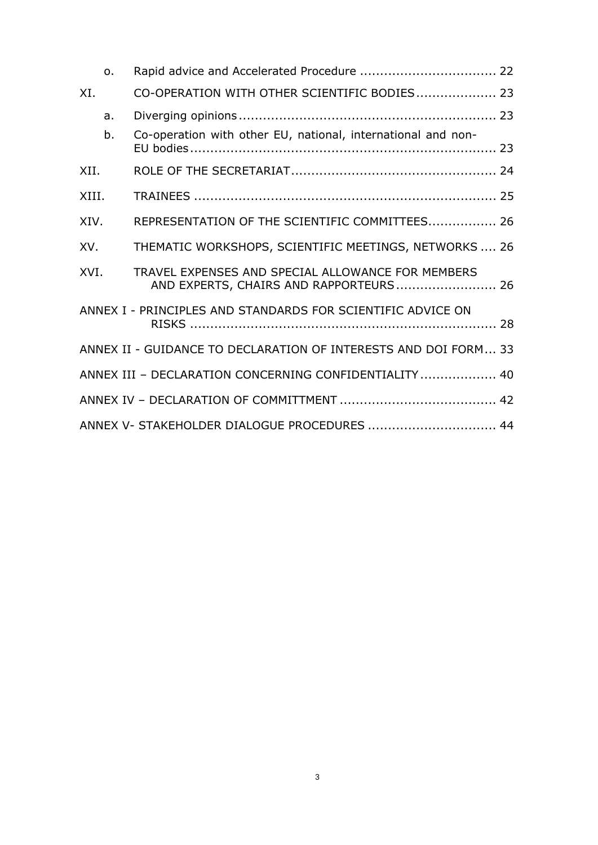|       | $\Omega$ . |                                                                                             |  |
|-------|------------|---------------------------------------------------------------------------------------------|--|
| XI.   |            | CO-OPERATION WITH OTHER SCIENTIFIC BODIES 23                                                |  |
|       | a.         |                                                                                             |  |
|       | b.         | Co-operation with other EU, national, international and non-                                |  |
| XII.  |            |                                                                                             |  |
| XIII. |            |                                                                                             |  |
| XIV.  |            | REPRESENTATION OF THE SCIENTIFIC COMMITTEES 26                                              |  |
| XV.   |            | THEMATIC WORKSHOPS, SCIENTIFIC MEETINGS, NETWORKS  26                                       |  |
| XVI.  |            | TRAVEL EXPENSES AND SPECIAL ALLOWANCE FOR MEMBERS<br>AND EXPERTS, CHAIRS AND RAPPORTEURS 26 |  |
|       |            | ANNEX I - PRINCIPLES AND STANDARDS FOR SCIENTIFIC ADVICE ON                                 |  |
|       |            | ANNEX II - GUIDANCE TO DECLARATION OF INTERESTS AND DOI FORM 33                             |  |
|       |            | ANNEX III - DECLARATION CONCERNING CONFIDENTIALITY  40                                      |  |
|       |            |                                                                                             |  |
|       |            | ANNEX V- STAKEHOLDER DIALOGUE PROCEDURES  44                                                |  |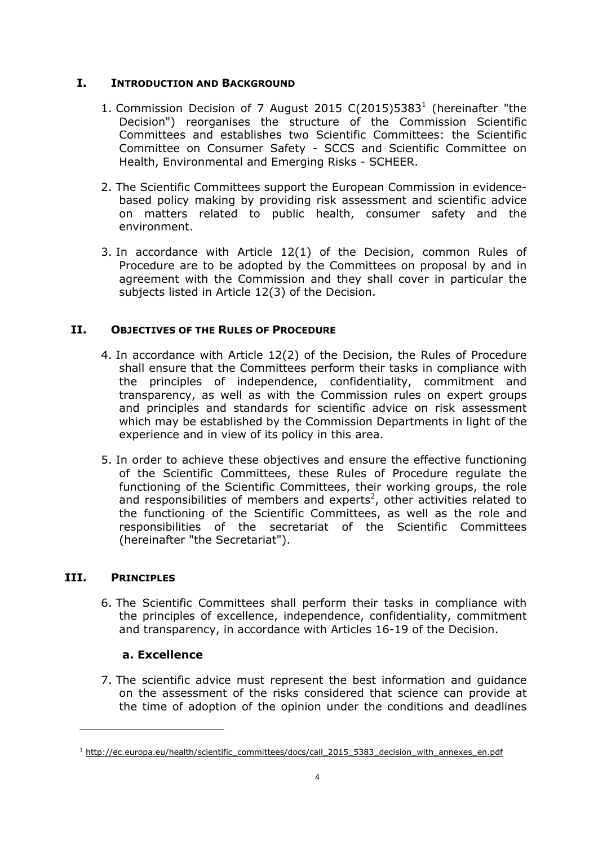# <span id="page-3-0"></span>**I. INTRODUCTION AND BACKGROUND**

- 1. Commission Decision of 7 August 2015  $C(2015)5383<sup>1</sup>$  (hereinafter "the Decision") reorganises the structure of the Commission Scientific Committees and establishes two Scientific Committees: the Scientific Committee on Consumer Safety - SCCS and Scientific Committee on Health, Environmental and Emerging Risks - SCHEER.
- 2. The Scientific Committees support the European Commission in evidencebased policy making by providing risk assessment and scientific advice on matters related to public health, consumer safety and the environment.
- 3. In accordance with Article 12(1) of the Decision, common Rules of Procedure are to be adopted by the Committees on proposal by and in agreement with the Commission and they shall cover in particular the subjects listed in Article 12(3) of the Decision.

# <span id="page-3-1"></span>**II. OBJECTIVES OF THE RULES OF PROCEDURE**

- 4. In accordance with Article 12(2) of the Decision, the Rules of Procedure shall ensure that the Committees perform their tasks in compliance with the principles of independence, confidentiality, commitment and transparency, as well as with the Commission rules on expert groups and principles and standards for scientific advice on risk assessment which may be established by the Commission Departments in light of the experience and in view of its policy in this area.
- 5. In order to achieve these objectives and ensure the effective functioning of the Scientific Committees, these Rules of Procedure regulate the functioning of the Scientific Committees, their working groups, the role and responsibilities of members and experts<sup>2</sup>, other activities related to the functioning of the Scientific Committees, as well as the role and responsibilities of the secretariat of the Scientific Committees (hereinafter "the Secretariat").

# <span id="page-3-3"></span><span id="page-3-2"></span>**III. PRINCIPLES**

 $\overline{a}$ 

6. The Scientific Committees shall perform their tasks in compliance with the principles of excellence, independence, confidentiality, commitment and transparency, in accordance with Articles 16-19 of the Decision.

# **a. Excellence**

7. The scientific advice must represent the best information and guidance on the assessment of the risks considered that science can provide at the time of adoption of the opinion under the conditions and deadlines

<sup>&</sup>lt;sup>1</sup> http://ec.europa.eu/health/scientific\_committees/docs/call\_2015\_5383\_decision\_with\_annexes\_en.pdf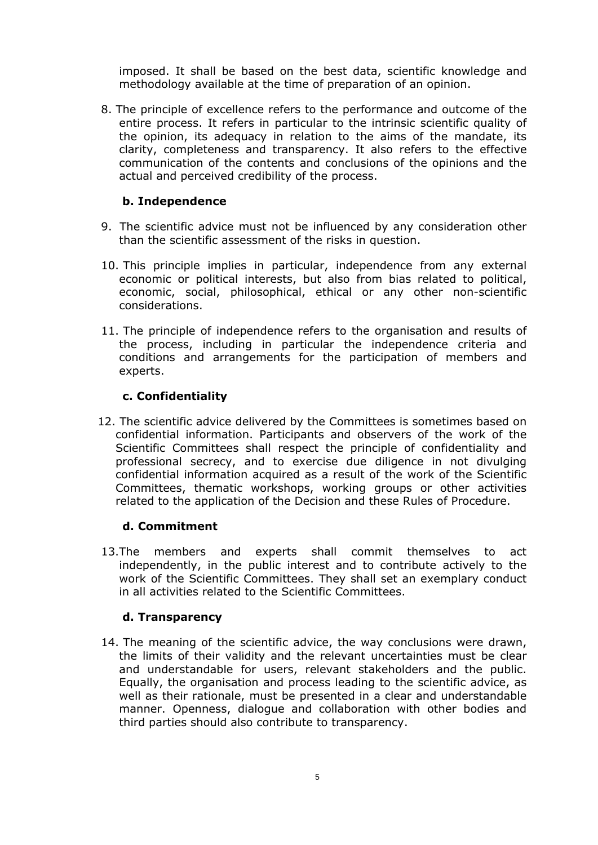imposed. It shall be based on the best data, scientific knowledge and methodology available at the time of preparation of an opinion.

8. The principle of excellence refers to the performance and outcome of the entire process. It refers in particular to the intrinsic scientific quality of the opinion, its adequacy in relation to the aims of the mandate, its clarity, completeness and transparency. It also refers to the effective communication of the contents and conclusions of the opinions and the actual and perceived credibility of the process.

## **b. Independence**

- <span id="page-4-0"></span>9. The scientific advice must not be influenced by any consideration other than the scientific assessment of the risks in question.
- 10. This principle implies in particular, independence from any external economic or political interests, but also from bias related to political, economic, social, philosophical, ethical or any other non-scientific considerations.
- 11. The principle of independence refers to the organisation and results of the process, including in particular the independence criteria and conditions and arrangements for the participation of members and experts.

#### **c. Confidentiality**

<span id="page-4-1"></span>12. The scientific advice delivered by the Committees is sometimes based on confidential information. Participants and observers of the work of the Scientific Committees shall respect the principle of confidentiality and professional secrecy, and to exercise due diligence in not divulging confidential information acquired as a result of the work of the Scientific Committees, thematic workshops, working groups or other activities related to the application of the Decision and these Rules of Procedure.

#### **d. Commitment**

<span id="page-4-2"></span>13.The members and experts shall commit themselves to act independently, in the public interest and to contribute actively to the work of the Scientific Committees. They shall set an exemplary conduct in all activities related to the Scientific Committees.

#### **d. Transparency**

<span id="page-4-3"></span>14. The meaning of the scientific advice, the way conclusions were drawn, the limits of their validity and the relevant uncertainties must be clear and understandable for users, relevant stakeholders and the public. Equally, the organisation and process leading to the scientific advice, as well as their rationale, must be presented in a clear and understandable manner. Openness, dialogue and collaboration with other bodies and third parties should also contribute to transparency.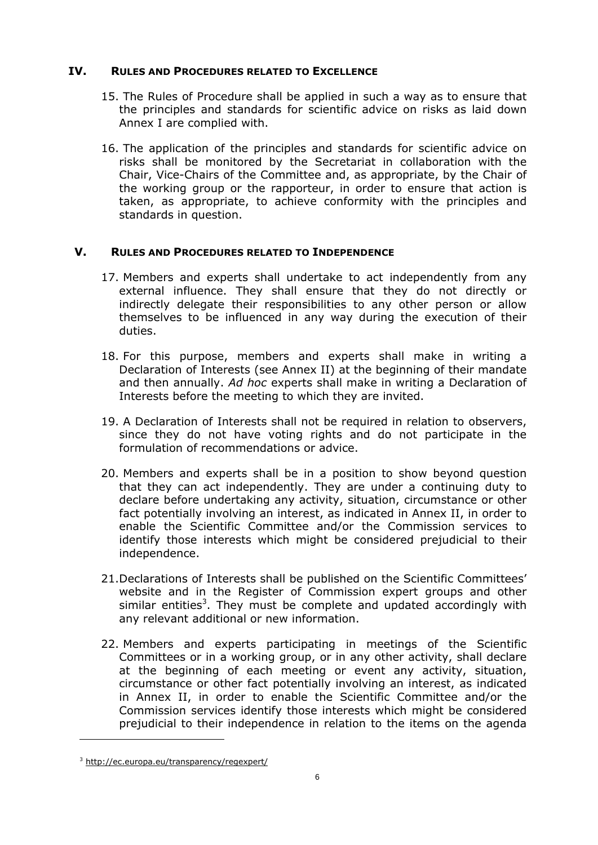# <span id="page-5-0"></span>**IV. RULES AND PROCEDURES RELATED TO EXCELLENCE**

- 15. The Rules of Procedure shall be applied in such a way as to ensure that the principles and standards for scientific advice on risks as laid down Annex I are complied with.
- 16. The application of the principles and standards for scientific advice on risks shall be monitored by the Secretariat in collaboration with the Chair, Vice-Chairs of the Committee and, as appropriate, by the Chair of the working group or the rapporteur, in order to ensure that action is taken, as appropriate, to achieve conformity with the principles and standards in question.

# <span id="page-5-1"></span>**V. RULES AND PROCEDURES RELATED TO INDEPENDENCE**

- 17. Members and experts shall undertake to act independently from any external influence. They shall ensure that they do not directly or indirectly delegate their responsibilities to any other person or allow themselves to be influenced in any way during the execution of their duties.
- 18. For this purpose, members and experts shall make in writing a Declaration of Interests (see Annex II) at the beginning of their mandate and then annually. *Ad hoc* experts shall make in writing a Declaration of Interests before the meeting to which they are invited.
- 19. A Declaration of Interests shall not be required in relation to observers, since they do not have voting rights and do not participate in the formulation of recommendations or advice.
- 20. Members and experts shall be in a position to show beyond question that they can act independently. They are under a continuing duty to declare before undertaking any activity, situation, circumstance or other fact potentially involving an interest, as indicated in Annex II, in order to enable the Scientific Committee and/or the Commission services to identify those interests which might be considered prejudicial to their independence.
- 21.Declarations of Interests shall be published on the Scientific Committees' website and in the Register of Commission expert groups and other similar entities<sup>3</sup>. They must be complete and updated accordingly with any relevant additional or new information.
- 22. Members and experts participating in meetings of the Scientific Committees or in a working group, or in any other activity, shall declare at the beginning of each meeting or event any activity, situation, circumstance or other fact potentially involving an interest, as indicated in Annex II, in order to enable the Scientific Committee and/or the Commission services identify those interests which might be considered prejudicial to their independence in relation to the items on the agenda

 $\overline{a}$ 

<sup>3</sup> <http://ec.europa.eu/transparency/regexpert/>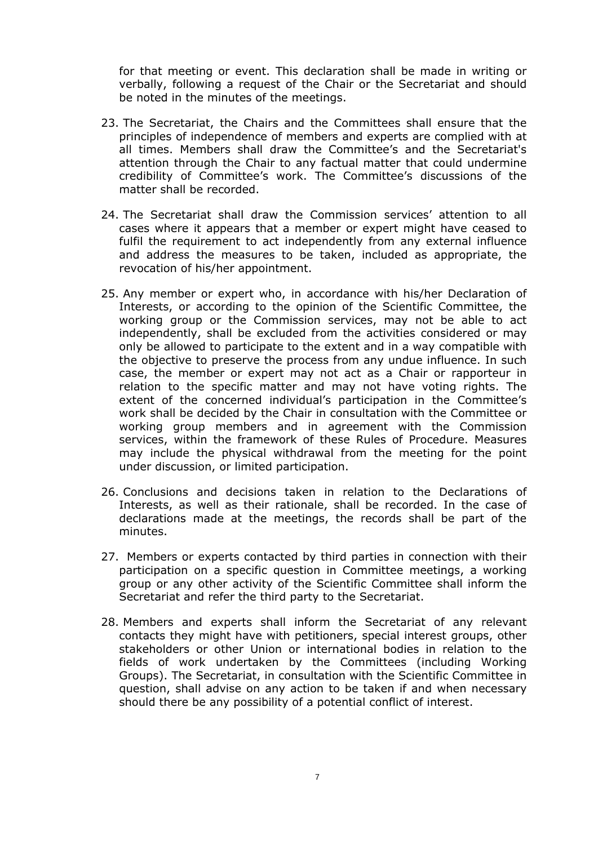for that meeting or event. This declaration shall be made in writing or verbally, following a request of the Chair or the Secretariat and should be noted in the minutes of the meetings.

- 23. The Secretariat, the Chairs and the Committees shall ensure that the principles of independence of members and experts are complied with at all times. Members shall draw the Committee's and the Secretariat's attention through the Chair to any factual matter that could undermine credibility of Committee's work. The Committee's discussions of the matter shall be recorded.
- 24. The Secretariat shall draw the Commission services' attention to all cases where it appears that a member or expert might have ceased to fulfil the requirement to act independently from any external influence and address the measures to be taken, included as appropriate, the revocation of his/her appointment.
- 25. Any member or expert who, in accordance with his/her Declaration of Interests, or according to the opinion of the Scientific Committee, the working group or the Commission services, may not be able to act independently, shall be excluded from the activities considered or may only be allowed to participate to the extent and in a way compatible with the objective to preserve the process from any undue influence. In such case, the member or expert may not act as a Chair or rapporteur in relation to the specific matter and may not have voting rights. The extent of the concerned individual's participation in the Committee's work shall be decided by the Chair in consultation with the Committee or working group members and in agreement with the Commission services, within the framework of these Rules of Procedure. Measures may include the physical withdrawal from the meeting for the point under discussion, or limited participation.
- 26. Conclusions and decisions taken in relation to the Declarations of Interests, as well as their rationale, shall be recorded. In the case of declarations made at the meetings, the records shall be part of the minutes.
- 27. Members or experts contacted by third parties in connection with their participation on a specific question in Committee meetings, a working group or any other activity of the Scientific Committee shall inform the Secretariat and refer the third party to the Secretariat.
- 28. Members and experts shall inform the Secretariat of any relevant contacts they might have with petitioners, special interest groups, other stakeholders or other Union or international bodies in relation to the fields of work undertaken by the Committees (including Working Groups). The Secretariat, in consultation with the Scientific Committee in question, shall advise on any action to be taken if and when necessary should there be any possibility of a potential conflict of interest.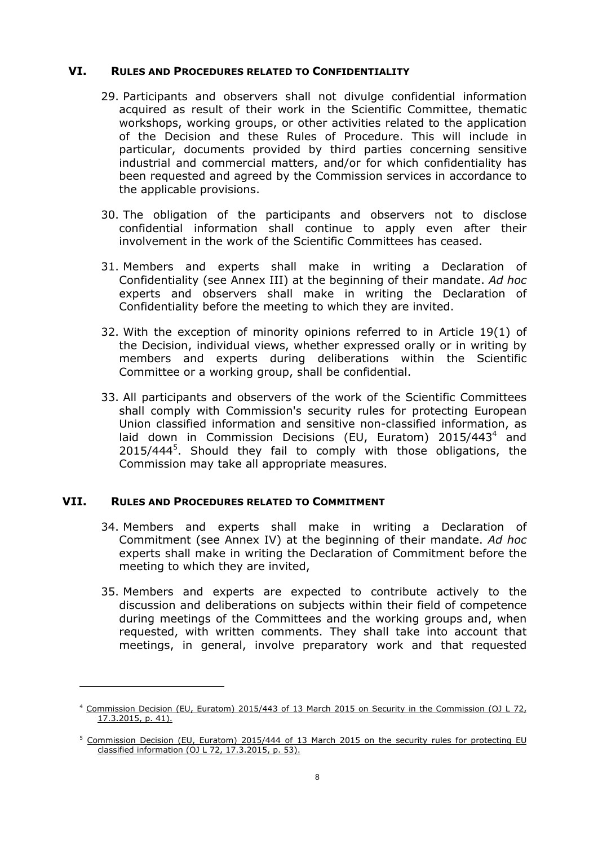#### <span id="page-7-0"></span>**VI. RULES AND PROCEDURES RELATED TO CONFIDENTIALITY**

- 29. Participants and observers shall not divulge confidential information acquired as result of their work in the Scientific Committee, thematic workshops, working groups, or other activities related to the application of the Decision and these Rules of Procedure. This will include in particular, documents provided by third parties concerning sensitive industrial and commercial matters, and/or for which confidentiality has been requested and agreed by the Commission services in accordance to the applicable provisions.
- 30. The obligation of the participants and observers not to disclose confidential information shall continue to apply even after their involvement in the work of the Scientific Committees has ceased.
- 31. Members and experts shall make in writing a Declaration of Confidentiality (see Annex III) at the beginning of their mandate. *Ad hoc* experts and observers shall make in writing the Declaration of Confidentiality before the meeting to which they are invited.
- 32. With the exception of minority opinions referred to in Article 19(1) of the Decision, individual views, whether expressed orally or in writing by members and experts during deliberations within the Scientific Committee or a working group, shall be confidential.
- 33. All participants and observers of the work of the Scientific Committees shall comply with Commission's security rules for protecting European Union classified information and sensitive non-classified information, as laid down in Commission Decisions (EU, Euratom) 2015/443<sup>4</sup> and 2015/444<sup>5</sup>. Should they fail to comply with those obligations, the Commission may take all appropriate measures.

#### <span id="page-7-1"></span>**VII. RULES AND PROCEDURES RELATED TO COMMITMENT**

 $\overline{a}$ 

- 34. Members and experts shall make in writing a Declaration of Commitment (see Annex IV) at the beginning of their mandate. *Ad hoc* experts shall make in writing the Declaration of Commitment before the meeting to which they are invited,
- 35. Members and experts are expected to contribute actively to the discussion and deliberations on subjects within their field of competence during meetings of the Committees and the working groups and, when requested, with written comments. They shall take into account that meetings, in general, involve preparatory work and that requested

<sup>&</sup>lt;sup>4</sup> Commission Decision (EU, Euratom) 2015/443 of 13 March 2015 on Security in the Commission (OJ L 72, 17.3.2015, p. 41).

<sup>&</sup>lt;sup>5</sup> Commission Decision (EU, Euratom) 2015/444 of 13 March 2015 on the security rules for protecting EU classified information (OJ L 72, 17.3.2015, p. 53).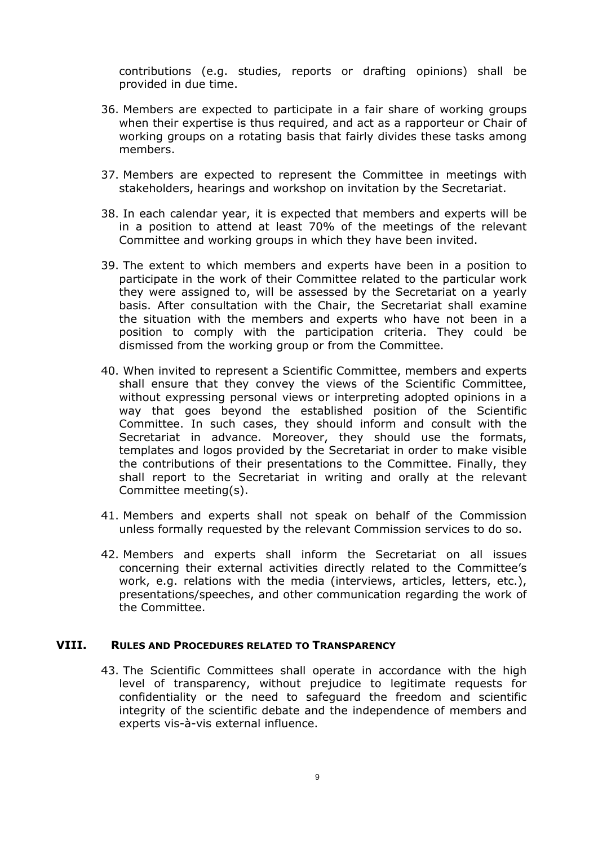contributions (e.g. studies, reports or drafting opinions) shall be provided in due time.

- 36. Members are expected to participate in a fair share of working groups when their expertise is thus required, and act as a rapporteur or Chair of working groups on a rotating basis that fairly divides these tasks among members.
- 37. Members are expected to represent the Committee in meetings with stakeholders, hearings and workshop on invitation by the Secretariat.
- 38. In each calendar year, it is expected that members and experts will be in a position to attend at least 70% of the meetings of the relevant Committee and working groups in which they have been invited.
- 39. The extent to which members and experts have been in a position to participate in the work of their Committee related to the particular work they were assigned to, will be assessed by the Secretariat on a yearly basis. After consultation with the Chair, the Secretariat shall examine the situation with the members and experts who have not been in a position to comply with the participation criteria. They could be dismissed from the working group or from the Committee.
- 40. When invited to represent a Scientific Committee, members and experts shall ensure that they convey the views of the Scientific Committee, without expressing personal views or interpreting adopted opinions in a way that goes beyond the established position of the Scientific Committee. In such cases, they should inform and consult with the Secretariat in advance. Moreover, they should use the formats, templates and logos provided by the Secretariat in order to make visible the contributions of their presentations to the Committee. Finally, they shall report to the Secretariat in writing and orally at the relevant Committee meeting(s).
- 41. Members and experts shall not speak on behalf of the Commission unless formally requested by the relevant Commission services to do so.
- 42. Members and experts shall inform the Secretariat on all issues concerning their external activities directly related to the Committee's work, e.g. relations with the media (interviews, articles, letters, etc.), presentations/speeches, and other communication regarding the work of the Committee.

#### <span id="page-8-1"></span><span id="page-8-0"></span>**VIII. RULES AND PROCEDURES RELATED TO TRANSPARENCY**

43. The Scientific Committees shall operate in accordance with the high level of transparency, without prejudice to legitimate requests for confidentiality or the need to safeguard the freedom and scientific integrity of the scientific debate and the independence of members and experts vis-à-vis external influence.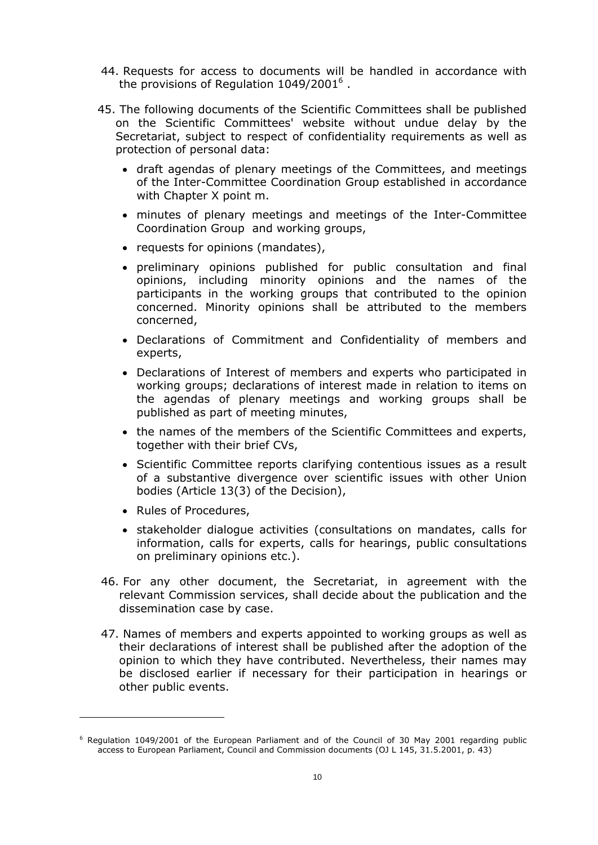- 44. Requests for access to documents will be handled in accordance with the provisions of Regulation  $1049/2001^6$  .
- 45. The following documents of the Scientific Committees shall be published on the Scientific Committees' website without undue delay by the Secretariat, subject to respect of confidentiality requirements as well as protection of personal data:
	- draft agendas of plenary meetings of the Committees, and meetings of the Inter-Committee Coordination Group established in accordance with Chapter X point m.
	- minutes of plenary meetings and meetings of the Inter-Committee Coordination Group and working groups,
	- requests for opinions (mandates),
	- preliminary opinions published for public consultation and final opinions, including minority opinions and the names of the participants in the working groups that contributed to the opinion concerned. Minority opinions shall be attributed to the members concerned,
	- Declarations of Commitment and Confidentiality of members and experts,
	- Declarations of Interest of members and experts who participated in working groups; declarations of interest made in relation to items on the agendas of plenary meetings and working groups shall be published as part of meeting minutes,
	- the names of the members of the Scientific Committees and experts, together with their brief CVs,
	- Scientific Committee reports clarifying contentious issues as a result of a substantive divergence over scientific issues with other Union bodies (Article 13(3) of the Decision),
	- Rules of Procedures,

 $\overline{a}$ 

- stakeholder dialogue activities (consultations on mandates, calls for information, calls for experts, calls for hearings, public consultations on preliminary opinions etc.).
- 46. For any other document, the Secretariat, in agreement with the relevant Commission services, shall decide about the publication and the dissemination case by case.
- 47. Names of members and experts appointed to working groups as well as their declarations of interest shall be published after the adoption of the opinion to which they have contributed. Nevertheless, their names may be disclosed earlier if necessary for their participation in hearings or other public events.

<sup>&</sup>lt;sup>6</sup> Regulation 1049/2001 of the European Parliament and of the Council of 30 May 2001 regarding public access to European Parliament, Council and Commission documents (OJ L 145, 31.5.2001, p. 43)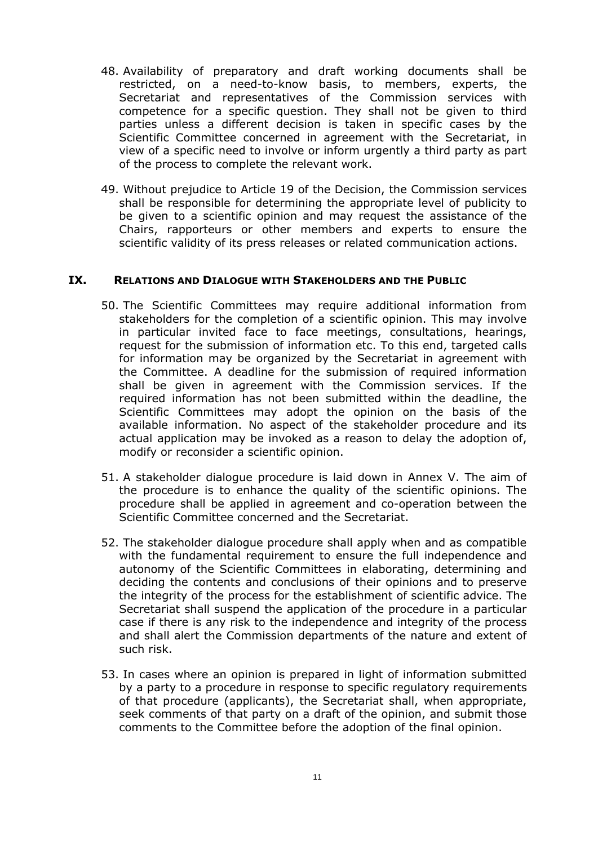- 48. Availability of preparatory and draft working documents shall be restricted, on a need-to-know basis, to members, experts, the Secretariat and representatives of the Commission services with competence for a specific question. They shall not be given to third parties unless a different decision is taken in specific cases by the Scientific Committee concerned in agreement with the Secretariat, in view of a specific need to involve or inform urgently a third party as part of the process to complete the relevant work.
- 49. Without prejudice to Article 19 of the Decision, the Commission services shall be responsible for determining the appropriate level of publicity to be given to a scientific opinion and may request the assistance of the Chairs, rapporteurs or other members and experts to ensure the scientific validity of its press releases or related communication actions.

#### <span id="page-10-0"></span>**IX. RELATIONS AND DIALOGUE WITH STAKEHOLDERS AND THE PUBLIC**

- 50. The Scientific Committees may require additional information from stakeholders for the completion of a scientific opinion. This may involve in particular invited face to face meetings, consultations, hearings, request for the submission of information etc. To this end, targeted calls for information may be organized by the Secretariat in agreement with the Committee. A deadline for the submission of required information shall be given in agreement with the Commission services. If the required information has not been submitted within the deadline, the Scientific Committees may adopt the opinion on the basis of the available information. No aspect of the stakeholder procedure and its actual application may be invoked as a reason to delay the adoption of, modify or reconsider a scientific opinion.
- 51. A stakeholder dialogue procedure is laid down in Annex V. The aim of the procedure is to enhance the quality of the scientific opinions. The procedure shall be applied in agreement and co-operation between the Scientific Committee concerned and the Secretariat.
- 52. The stakeholder dialogue procedure shall apply when and as compatible with the fundamental requirement to ensure the full independence and autonomy of the Scientific Committees in elaborating, determining and deciding the contents and conclusions of their opinions and to preserve the integrity of the process for the establishment of scientific advice. The Secretariat shall suspend the application of the procedure in a particular case if there is any risk to the independence and integrity of the process and shall alert the Commission departments of the nature and extent of such risk.
- 53. In cases where an opinion is prepared in light of information submitted by a party to a procedure in response to specific regulatory requirements of that procedure (applicants), the Secretariat shall, when appropriate, seek comments of that party on a draft of the opinion, and submit those comments to the Committee before the adoption of the final opinion.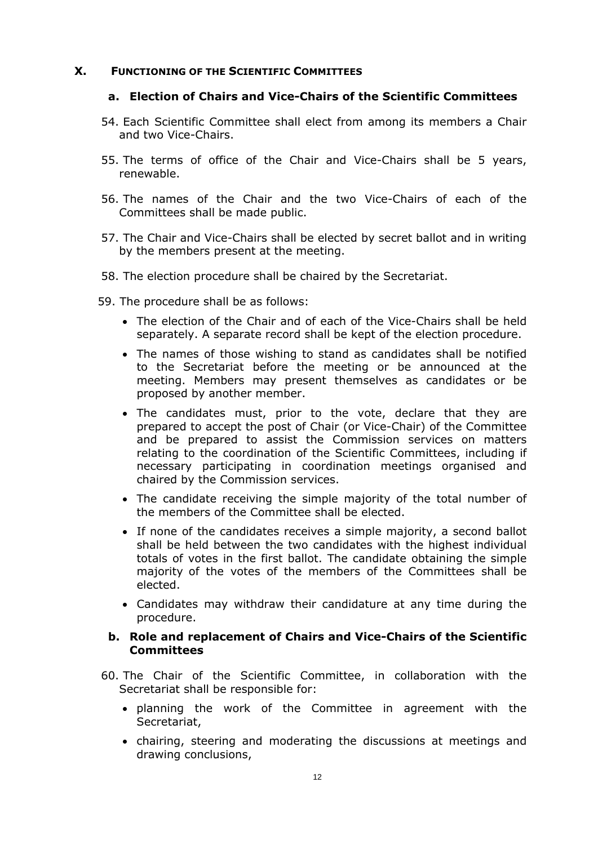#### <span id="page-11-2"></span><span id="page-11-0"></span>**X. FUNCTIONING OF THE SCIENTIFIC COMMITTEES**

#### **a. Election of Chairs and Vice-Chairs of the Scientific Committees**

- 54. Each Scientific Committee shall elect from among its members a Chair and two Vice-Chairs.
- 55. The terms of office of the Chair and Vice-Chairs shall be 5 years, renewable.
- 56. The names of the Chair and the two Vice-Chairs of each of the Committees shall be made public.
- 57. The Chair and Vice-Chairs shall be elected by secret ballot and in writing by the members present at the meeting.
- 58. The election procedure shall be chaired by the Secretariat.
- 59. The procedure shall be as follows:
	- The election of the Chair and of each of the Vice-Chairs shall be held separately. A separate record shall be kept of the election procedure.
	- The names of those wishing to stand as candidates shall be notified to the Secretariat before the meeting or be announced at the meeting. Members may present themselves as candidates or be proposed by another member.
	- The candidates must, prior to the vote, declare that they are prepared to accept the post of Chair (or Vice-Chair) of the Committee and be prepared to assist the Commission services on matters relating to the coordination of the Scientific Committees, including if necessary participating in coordination meetings organised and chaired by the Commission services.
	- The candidate receiving the simple majority of the total number of the members of the Committee shall be elected.
	- If none of the candidates receives a simple majority, a second ballot shall be held between the two candidates with the highest individual totals of votes in the first ballot. The candidate obtaining the simple majority of the votes of the members of the Committees shall be elected.
	- Candidates may withdraw their candidature at any time during the procedure.

#### <span id="page-11-3"></span>**b. Role and replacement of Chairs and Vice-Chairs of the Scientific Committees**

- <span id="page-11-1"></span>60. The Chair of the Scientific Committee, in collaboration with the Secretariat shall be responsible for:
	- planning the work of the Committee in agreement with the Secretariat,
	- chairing, steering and moderating the discussions at meetings and drawing conclusions,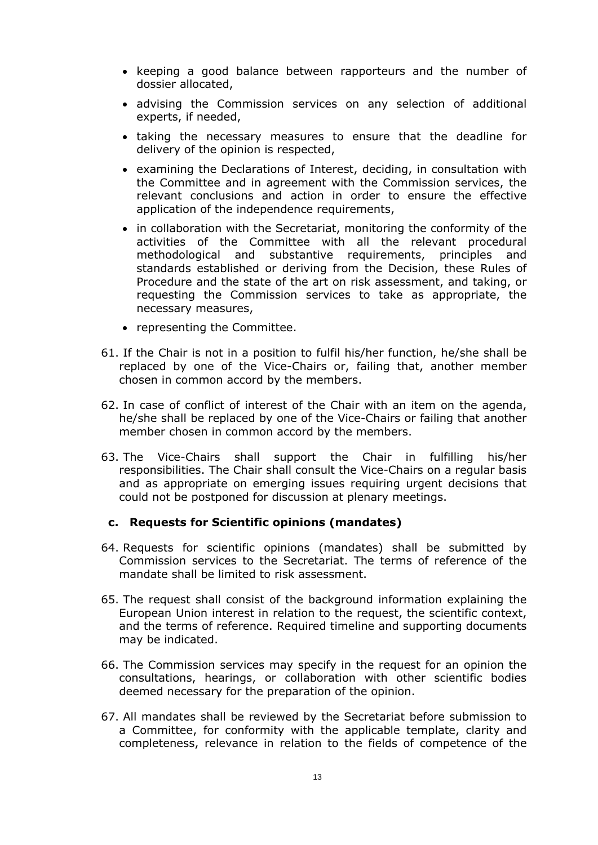- keeping a good balance between rapporteurs and the number of dossier allocated,
- advising the Commission services on any selection of additional experts, if needed,
- taking the necessary measures to ensure that the deadline for delivery of the opinion is respected,
- examining the Declarations of Interest, deciding, in consultation with the Committee and in agreement with the Commission services, the relevant conclusions and action in order to ensure the effective application of the independence requirements,
- in collaboration with the Secretariat, monitoring the conformity of the activities of the Committee with all the relevant procedural methodological and substantive requirements, principles and standards established or deriving from the Decision, these Rules of Procedure and the state of the art on risk assessment, and taking, or requesting the Commission services to take as appropriate, the necessary measures,
- representing the Committee.
- 61. If the Chair is not in a position to fulfil his/her function, he/she shall be replaced by one of the Vice-Chairs or, failing that, another member chosen in common accord by the members.
- 62. In case of conflict of interest of the Chair with an item on the agenda, he/she shall be replaced by one of the Vice-Chairs or failing that another member chosen in common accord by the members.
- 63. The Vice-Chairs shall support the Chair in fulfilling his/her responsibilities. The Chair shall consult the Vice-Chairs on a regular basis and as appropriate on emerging issues requiring urgent decisions that could not be postponed for discussion at plenary meetings.

#### <span id="page-12-0"></span>**c. Requests for Scientific opinions (mandates)**

- 64. Requests for scientific opinions (mandates) shall be submitted by Commission services to the Secretariat. The terms of reference of the mandate shall be limited to risk assessment.
- 65. The request shall consist of the background information explaining the European Union interest in relation to the request, the scientific context, and the terms of reference. Required timeline and supporting documents may be indicated.
- 66. The Commission services may specify in the request for an opinion the consultations, hearings, or collaboration with other scientific bodies deemed necessary for the preparation of the opinion.
- 67. All mandates shall be reviewed by the Secretariat before submission to a Committee, for conformity with the applicable template, clarity and completeness, relevance in relation to the fields of competence of the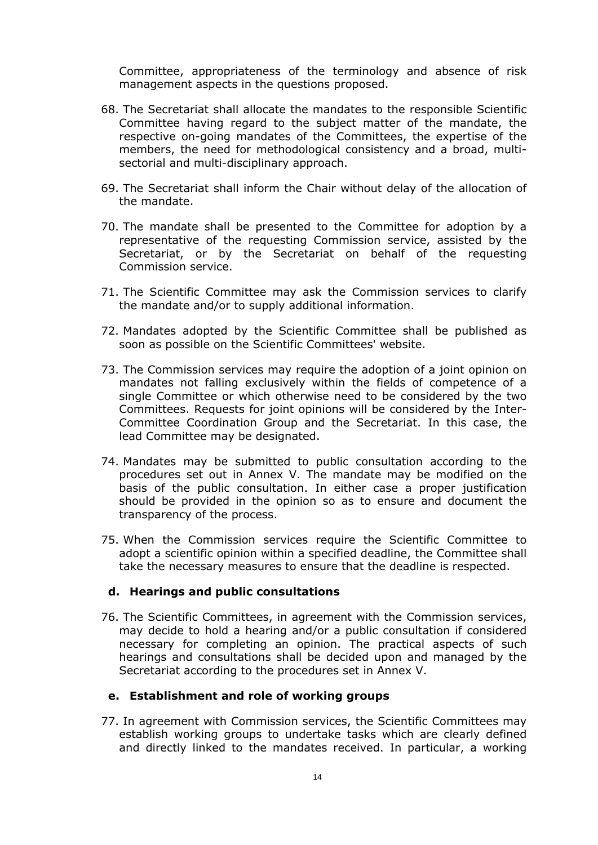Committee, appropriateness of the terminology and absence of risk management aspects in the questions proposed.

- 68. The Secretariat shall allocate the mandates to the responsible Scientific Committee having regard to the subject matter of the mandate, the respective on-going mandates of the Committees, the expertise of the members, the need for methodological consistency and a broad, multisectorial and multi-disciplinary approach.
- 69. The Secretariat shall inform the Chair without delay of the allocation of the mandate.
- 70. The mandate shall be presented to the Committee for adoption by a representative of the requesting Commission service, assisted by the Secretariat, or by the Secretariat on behalf of the requesting Commission service.
- 71. The Scientific Committee may ask the Commission services to clarify the mandate and/or to supply additional information.
- 72. Mandates adopted by the Scientific Committee shall be published as soon as possible on the Scientific Committees' website.
- 73. The Commission services may require the adoption of a joint opinion on mandates not falling exclusively within the fields of competence of a single Committee or which otherwise need to be considered by the two Committees. Requests for joint opinions will be considered by the Inter-Committee Coordination Group and the Secretariat. In this case, the lead Committee may be designated.
- 74. Mandates may be submitted to public consultation according to the procedures set out in Annex V. The mandate may be modified on the basis of the public consultation. In either case a proper justification should be provided in the opinion so as to ensure and document the transparency of the process.
- 75. When the Commission services require the Scientific Committee to adopt a scientific opinion within a specified deadline, the Committee shall take the necessary measures to ensure that the deadline is respected.

#### <span id="page-13-0"></span>**d. Hearings and public consultations**

76. The Scientific Committees, in agreement with the Commission services, may decide to hold a hearing and/or a public consultation if considered necessary for completing an opinion. The practical aspects of such hearings and consultations shall be decided upon and managed by the Secretariat according to the procedures set in Annex V.

#### <span id="page-13-1"></span>**e. Establishment and role of working groups**

77. In agreement with Commission services, the Scientific Committees may establish working groups to undertake tasks which are clearly defined and directly linked to the mandates received. In particular, a working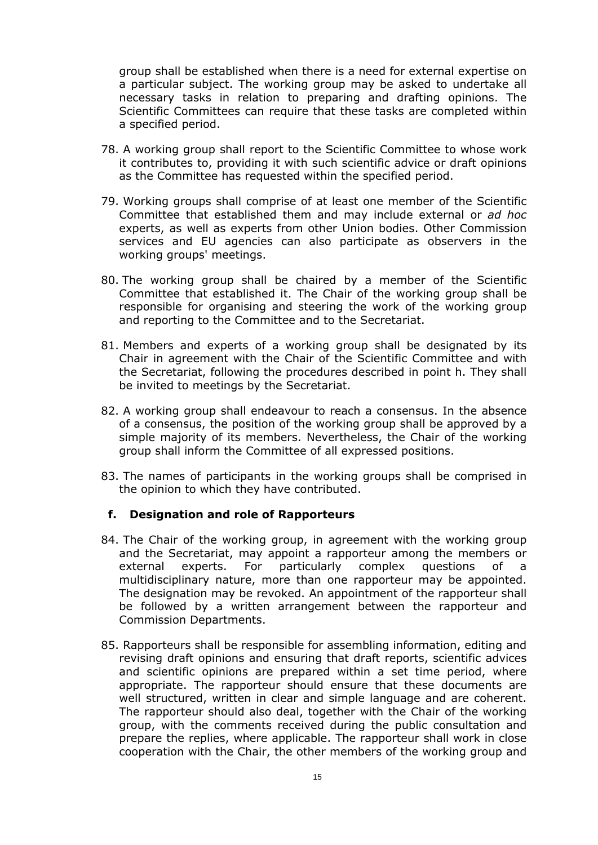group shall be established when there is a need for external expertise on a particular subject. The working group may be asked to undertake all necessary tasks in relation to preparing and drafting opinions. The Scientific Committees can require that these tasks are completed within a specified period.

- 78. A working group shall report to the Scientific Committee to whose work it contributes to, providing it with such scientific advice or draft opinions as the Committee has requested within the specified period.
- 79. Working groups shall comprise of at least one member of the Scientific Committee that established them and may include external or *ad hoc* experts, as well as experts from other Union bodies. Other Commission services and EU agencies can also participate as observers in the working groups' meetings.
- 80. The working group shall be chaired by a member of the Scientific Committee that established it. The Chair of the working group shall be responsible for organising and steering the work of the working group and reporting to the Committee and to the Secretariat.
- 81. Members and experts of a working group shall be designated by its Chair in agreement with the Chair of the Scientific Committee and with the Secretariat, following the procedures described in point h. They shall be invited to meetings by the Secretariat.
- 82. A working group shall endeavour to reach a consensus. In the absence of a consensus, the position of the working group shall be approved by a simple majority of its members. Nevertheless, the Chair of the working group shall inform the Committee of all expressed positions.
- <span id="page-14-0"></span>83. The names of participants in the working groups shall be comprised in the opinion to which they have contributed.

#### **f. Designation and role of Rapporteurs**

- 84. The Chair of the working group, in agreement with the working group and the Secretariat, may appoint a rapporteur among the members or external experts. For particularly complex questions of a multidisciplinary nature, more than one rapporteur may be appointed. The designation may be revoked. An appointment of the rapporteur shall be followed by a written arrangement between the rapporteur and Commission Departments.
- 85. Rapporteurs shall be responsible for assembling information, editing and revising draft opinions and ensuring that draft reports, scientific advices and scientific opinions are prepared within a set time period, where appropriate. The rapporteur should ensure that these documents are well structured, written in clear and simple language and are coherent. The rapporteur should also deal, together with the Chair of the working group, with the comments received during the public consultation and prepare the replies, where applicable. The rapporteur shall work in close cooperation with the Chair, the other members of the working group and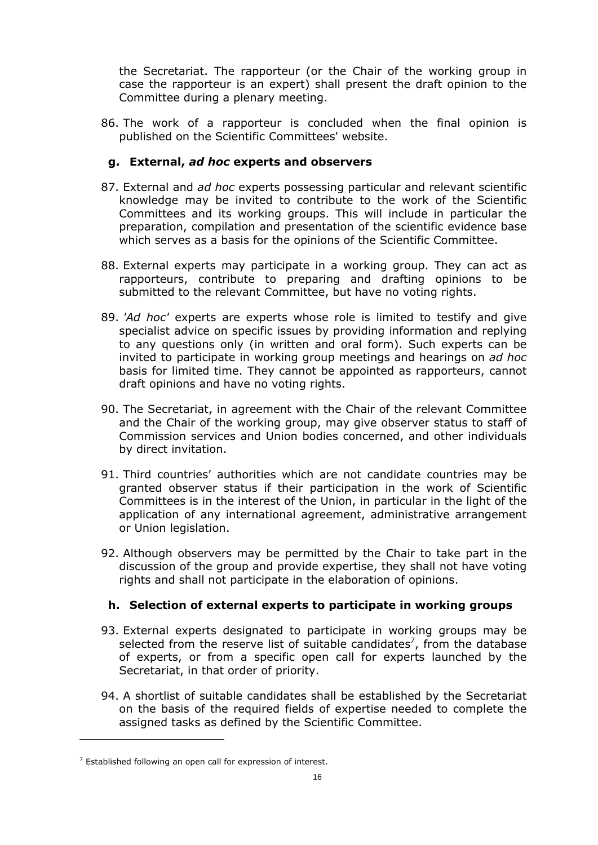the Secretariat. The rapporteur (or the Chair of the working group in case the rapporteur is an expert) shall present the draft opinion to the Committee during a plenary meeting.

<span id="page-15-0"></span>86. The work of a rapporteur is concluded when the final opinion is published on the Scientific Committees' website.

# **g. External,** *ad hoc* **experts and observers**

- 87. External and *ad hoc* experts possessing particular and relevant scientific knowledge may be invited to contribute to the work of the Scientific Committees and its working groups. This will include in particular the preparation, compilation and presentation of the scientific evidence base which serves as a basis for the opinions of the Scientific Committee.
- 88. External experts may participate in a working group. They can act as rapporteurs, contribute to preparing and drafting opinions to be submitted to the relevant Committee, but have no voting rights.
- 89. *'Ad hoc'* experts are experts whose role is limited to testify and give specialist advice on specific issues by providing information and replying to any questions only (in written and oral form). Such experts can be invited to participate in working group meetings and hearings on *ad hoc* basis for limited time. They cannot be appointed as rapporteurs, cannot draft opinions and have no voting rights.
- 90. The Secretariat, in agreement with the Chair of the relevant Committee and the Chair of the working group, may give observer status to staff of Commission services and Union bodies concerned, and other individuals by direct invitation.
- 91. Third countries' authorities which are not candidate countries may be granted observer status if their participation in the work of Scientific Committees is in the interest of the Union, in particular in the light of the application of any international agreement, administrative arrangement or Union legislation.
- 92. Although observers may be permitted by the Chair to take part in the discussion of the group and provide expertise, they shall not have voting rights and shall not participate in the elaboration of opinions.

# <span id="page-15-1"></span>**h. Selection of external experts to participate in working groups**

- 93. External experts designated to participate in working groups may be selected from the reserve list of suitable candidates<sup>7</sup>, from the database of experts, or from a specific open call for experts launched by the Secretariat, in that order of priority.
- 94. A shortlist of suitable candidates shall be established by the Secretariat on the basis of the required fields of expertise needed to complete the assigned tasks as defined by the Scientific Committee.

 $\overline{a}$ 

 $7$  Established following an open call for expression of interest.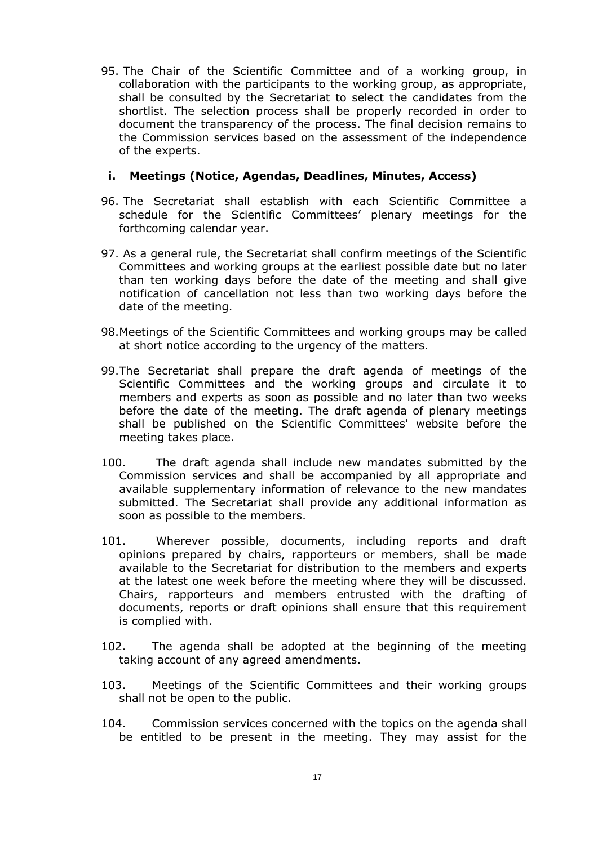95. The Chair of the Scientific Committee and of a working group, in collaboration with the participants to the working group, as appropriate, shall be consulted by the Secretariat to select the candidates from the shortlist. The selection process shall be properly recorded in order to document the transparency of the process. The final decision remains to the Commission services based on the assessment of the independence of the experts.

## <span id="page-16-0"></span>**i. Meetings (Notice, Agendas, Deadlines, Minutes, Access)**

- 96. The Secretariat shall establish with each Scientific Committee a schedule for the Scientific Committees' plenary meetings for the forthcoming calendar year.
- 97. As a general rule, the Secretariat shall confirm meetings of the Scientific Committees and working groups at the earliest possible date but no later than ten working days before the date of the meeting and shall give notification of cancellation not less than two working days before the date of the meeting.
- 98.Meetings of the Scientific Committees and working groups may be called at short notice according to the urgency of the matters.
- 99.The Secretariat shall prepare the draft agenda of meetings of the Scientific Committees and the working groups and circulate it to members and experts as soon as possible and no later than two weeks before the date of the meeting. The draft agenda of plenary meetings shall be published on the Scientific Committees' website before the meeting takes place.
- 100. The draft agenda shall include new mandates submitted by the Commission services and shall be accompanied by all appropriate and available supplementary information of relevance to the new mandates submitted. The Secretariat shall provide any additional information as soon as possible to the members.
- 101. Wherever possible, documents, including reports and draft opinions prepared by chairs, rapporteurs or members, shall be made available to the Secretariat for distribution to the members and experts at the latest one week before the meeting where they will be discussed. Chairs, rapporteurs and members entrusted with the drafting of documents, reports or draft opinions shall ensure that this requirement is complied with.
- 102. The agenda shall be adopted at the beginning of the meeting taking account of any agreed amendments.
- 103. Meetings of the Scientific Committees and their working groups shall not be open to the public.
- 104. Commission services concerned with the topics on the agenda shall be entitled to be present in the meeting. They may assist for the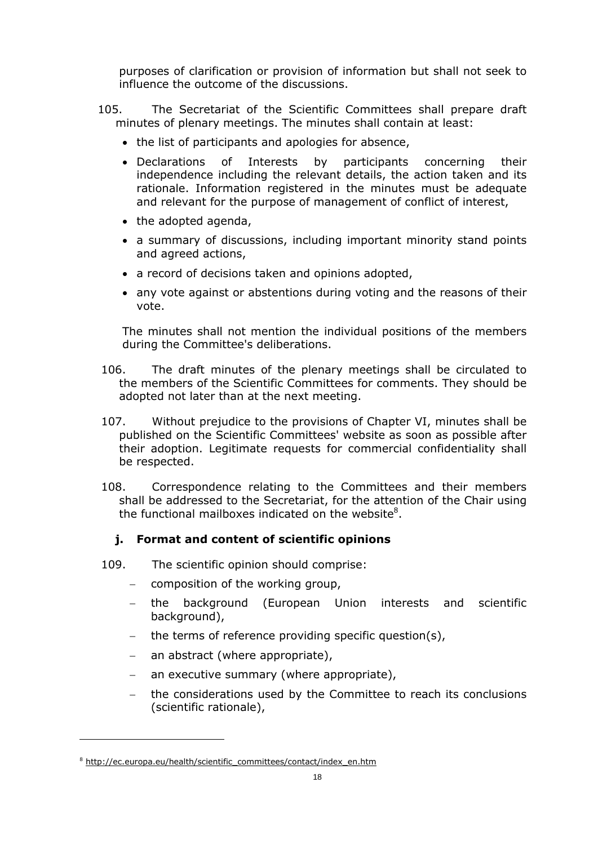purposes of clarification or provision of information but shall not seek to influence the outcome of the discussions.

- 105. The Secretariat of the Scientific Committees shall prepare draft minutes of plenary meetings. The minutes shall contain at least:
	- the list of participants and apologies for absence,
	- Declarations of Interests by participants concerning their independence including the relevant details, the action taken and its rationale. Information registered in the minutes must be adequate and relevant for the purpose of management of conflict of interest,
	- the adopted agenda,
	- a summary of discussions, including important minority stand points and agreed actions,
	- a record of decisions taken and opinions adopted,
	- any vote against or abstentions during voting and the reasons of their vote.

The minutes shall not mention the individual positions of the members during the Committee's deliberations.

- 106. The draft minutes of the plenary meetings shall be circulated to the members of the Scientific Committees for comments. They should be adopted not later than at the next meeting.
- 107. Without prejudice to the provisions of Chapter VI, minutes shall be published on the Scientific Committees' website as soon as possible after their adoption. Legitimate requests for commercial confidentiality shall be respected.
- <span id="page-17-0"></span>108. Correspondence relating to the Committees and their members shall be addressed to the Secretariat, for the attention of the Chair using the functional mailboxes indicated on the website<sup>8</sup>.

# **j. Format and content of scientific opinions**

- 109. The scientific opinion should comprise:
	- − composition of the working group,
	- − the background (European Union interests and scientific background),
	- the terms of reference providing specific question(s),
	- − an abstract (where appropriate),
	- an executive summary (where appropriate),
	- the considerations used by the Committee to reach its conclusions (scientific rationale),

 $\overline{a}$ 

<sup>&</sup>lt;sup>8</sup> http://ec.europa.eu/health/scientific\_committees/contact/index\_en.htm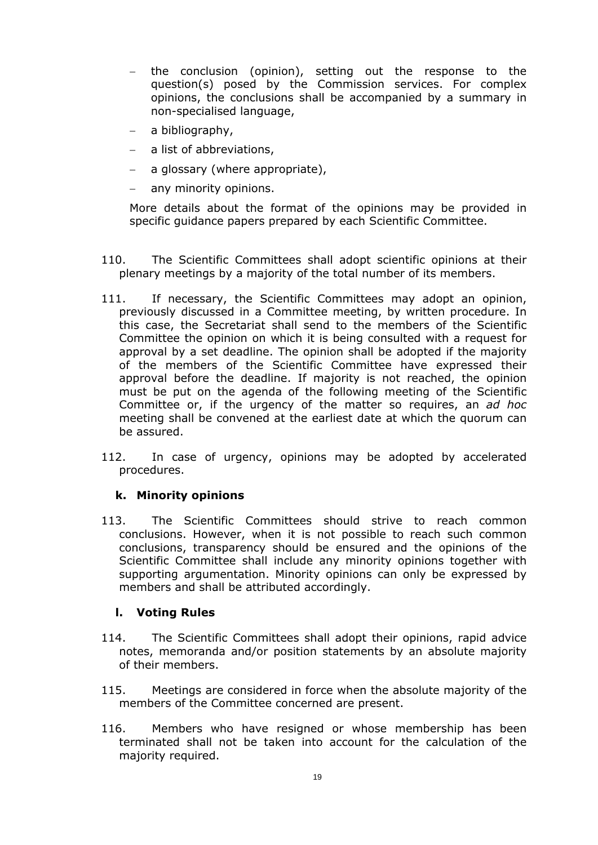- the conclusion (opinion), setting out the response to the question(s) posed by the Commission services. For complex opinions, the conclusions shall be accompanied by a summary in non-specialised language,
- − a bibliography,
- a list of abbreviations,
- a glossary (where appropriate),
- − any minority opinions.

More details about the format of the opinions may be provided in specific guidance papers prepared by each Scientific Committee.

- 110. The Scientific Committees shall adopt scientific opinions at their plenary meetings by a majority of the total number of its members.
- 111. If necessary, the Scientific Committees may adopt an opinion, previously discussed in a Committee meeting, by written procedure. In this case, the Secretariat shall send to the members of the Scientific Committee the opinion on which it is being consulted with a request for approval by a set deadline. The opinion shall be adopted if the majority of the members of the Scientific Committee have expressed their approval before the deadline. If majority is not reached, the opinion must be put on the agenda of the following meeting of the Scientific Committee or, if the urgency of the matter so requires, an *ad hoc* meeting shall be convened at the earliest date at which the quorum can be assured.
- <span id="page-18-0"></span>112. In case of urgency, opinions may be adopted by accelerated procedures.

#### **k. Minority opinions**

113. The Scientific Committees should strive to reach common conclusions. However, when it is not possible to reach such common conclusions, transparency should be ensured and the opinions of the Scientific Committee shall include any minority opinions together with supporting argumentation. Minority opinions can only be expressed by members and shall be attributed accordingly.

#### **l. Voting Rules**

- <span id="page-18-1"></span>114. The Scientific Committees shall adopt their opinions, rapid advice notes, memoranda and/or position statements by an absolute majority of their members.
- 115. Meetings are considered in force when the absolute majority of the members of the Committee concerned are present.
- 116. Members who have resigned or whose membership has been terminated shall not be taken into account for the calculation of the majority required.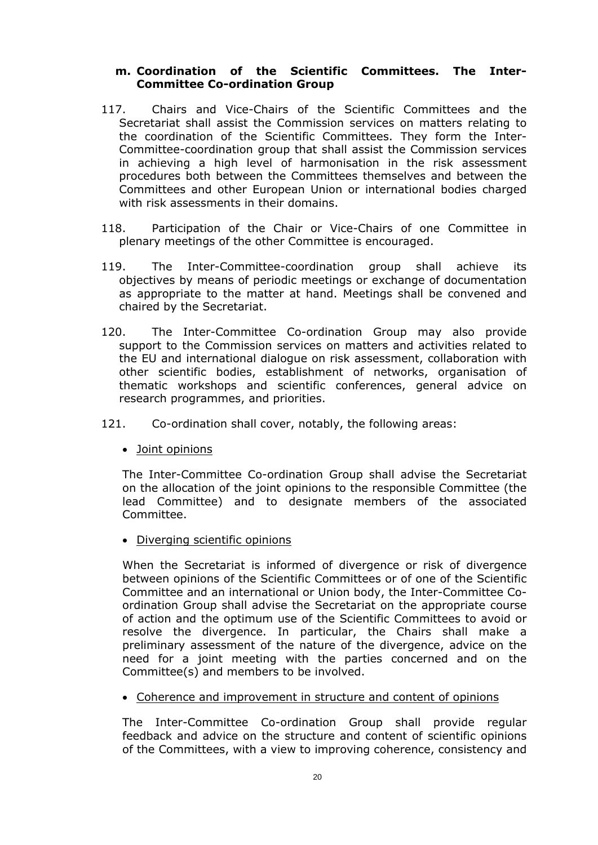#### **m. Coordination of the Scientific Committees. The Inter-Committee Co-ordination Group**

- <span id="page-19-0"></span>117. Chairs and Vice-Chairs of the Scientific Committees and the Secretariat shall assist the Commission services on matters relating to the coordination of the Scientific Committees. They form the Inter-Committee-coordination group that shall assist the Commission services in achieving a high level of harmonisation in the risk assessment procedures both between the Committees themselves and between the Committees and other European Union or international bodies charged with risk assessments in their domains.
- 118. Participation of the Chair or Vice-Chairs of one Committee in plenary meetings of the other Committee is encouraged.
- 119. The Inter-Committee-coordination group shall achieve its objectives by means of periodic meetings or exchange of documentation as appropriate to the matter at hand. Meetings shall be convened and chaired by the Secretariat.
- 120. The Inter-Committee Co-ordination Group may also provide support to the Commission services on matters and activities related to the EU and international dialogue on risk assessment, collaboration with other scientific bodies, establishment of networks, organisation of thematic workshops and scientific conferences, general advice on research programmes, and priorities.
- 121. Co-ordination shall cover, notably, the following areas:
	- Joint opinions

The Inter-Committee Co-ordination Group shall advise the Secretariat on the allocation of the joint opinions to the responsible Committee (the lead Committee) and to designate members of the associated Committee.

• Diverging scientific opinions

When the Secretariat is informed of divergence or risk of divergence between opinions of the Scientific Committees or of one of the Scientific Committee and an international or Union body, the Inter-Committee Coordination Group shall advise the Secretariat on the appropriate course of action and the optimum use of the Scientific Committees to avoid or resolve the divergence. In particular, the Chairs shall make a preliminary assessment of the nature of the divergence, advice on the need for a joint meeting with the parties concerned and on the Committee(s) and members to be involved.

• Coherence and improvement in structure and content of opinions

The Inter-Committee Co-ordination Group shall provide regular feedback and advice on the structure and content of scientific opinions of the Committees, with a view to improving coherence, consistency and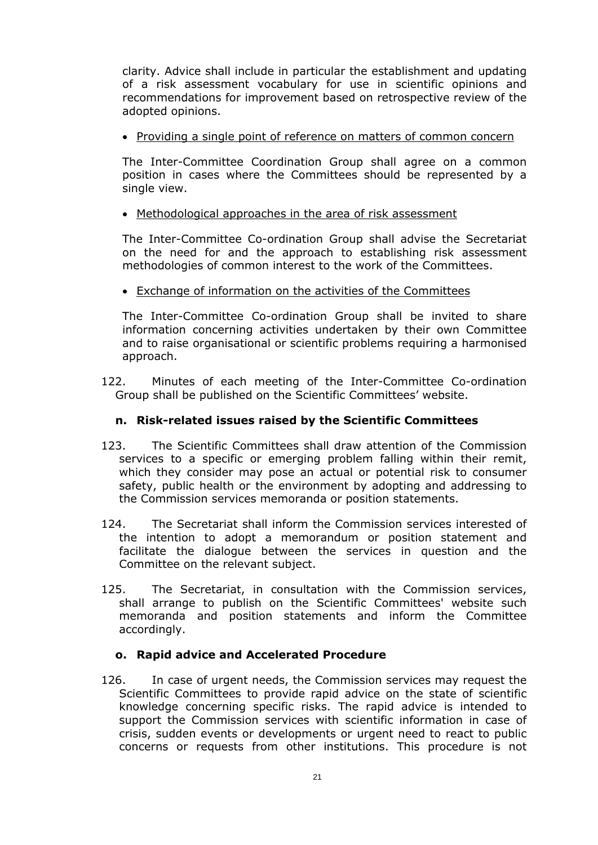clarity. Advice shall include in particular the establishment and updating of a risk assessment vocabulary for use in scientific opinions and recommendations for improvement based on retrospective review of the adopted opinions.

• Providing a single point of reference on matters of common concern

The Inter-Committee Coordination Group shall agree on a common position in cases where the Committees should be represented by a single view.

• Methodological approaches in the area of risk assessment

The Inter-Committee Co-ordination Group shall advise the Secretariat on the need for and the approach to establishing risk assessment methodologies of common interest to the work of the Committees.

• Exchange of information on the activities of the Committees

The Inter-Committee Co-ordination Group shall be invited to share information concerning activities undertaken by their own Committee and to raise organisational or scientific problems requiring a harmonised approach.

122. Minutes of each meeting of the Inter-Committee Co-ordination Group shall be published on the Scientific Committees' website.

# **n. Risk-related issues raised by the Scientific Committees**

- 123. The Scientific Committees shall draw attention of the Commission services to a specific or emerging problem falling within their remit, which they consider may pose an actual or potential risk to consumer safety, public health or the environment by adopting and addressing to the Commission services memoranda or position statements.
- 124. The Secretariat shall inform the Commission services interested of the intention to adopt a memorandum or position statement and facilitate the dialogue between the services in question and the Committee on the relevant subject.
- 125. The Secretariat, in consultation with the Commission services, shall arrange to publish on the Scientific Committees' website such memoranda and position statements and inform the Committee accordingly.

#### **o. Rapid advice and Accelerated Procedure**

<span id="page-20-0"></span>126. In case of urgent needs, the Commission services may request the Scientific Committees to provide rapid advice on the state of scientific knowledge concerning specific risks. The rapid advice is intended to support the Commission services with scientific information in case of crisis, sudden events or developments or urgent need to react to public concerns or requests from other institutions. This procedure is not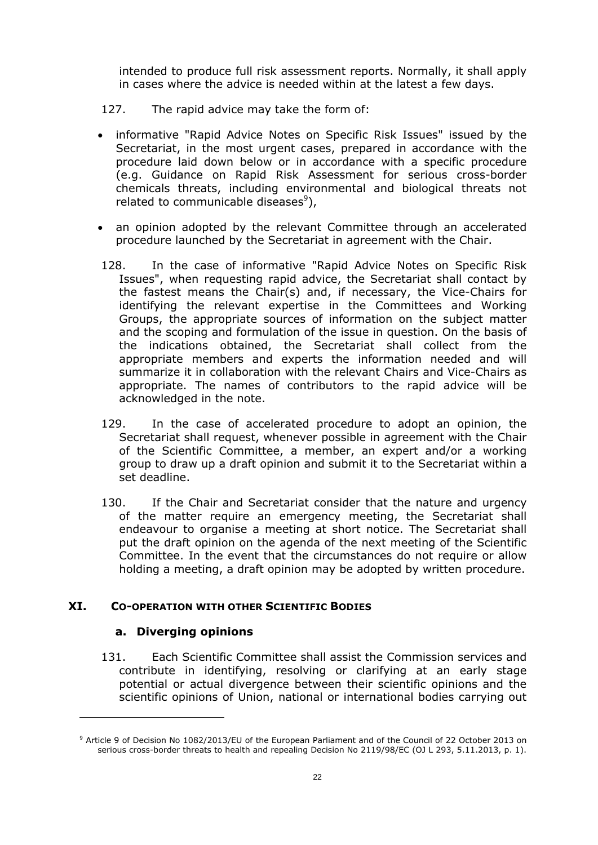intended to produce full risk assessment reports. Normally, it shall apply in cases where the advice is needed within at the latest a few days.

- 127. The rapid advice may take the form of:
- informative "Rapid Advice Notes on Specific Risk Issues" issued by the Secretariat, in the most urgent cases, prepared in accordance with the procedure laid down below or in accordance with a specific procedure (e.g. Guidance on Rapid Risk Assessment for serious cross-border chemicals threats, including environmental and biological threats not related to communicable diseases $9$ ),
- an opinion adopted by the relevant Committee through an accelerated procedure launched by the Secretariat in agreement with the Chair.
- 128. In the case of informative "Rapid Advice Notes on Specific Risk Issues", when requesting rapid advice, the Secretariat shall contact by the fastest means the Chair(s) and, if necessary, the Vice-Chairs for identifying the relevant expertise in the Committees and Working Groups, the appropriate sources of information on the subject matter and the scoping and formulation of the issue in question. On the basis of the indications obtained, the Secretariat shall collect from the appropriate members and experts the information needed and will summarize it in collaboration with the relevant Chairs and Vice-Chairs as appropriate. The names of contributors to the rapid advice will be acknowledged in the note.
- 129. In the case of accelerated procedure to adopt an opinion, the Secretariat shall request, whenever possible in agreement with the Chair of the Scientific Committee, a member, an expert and/or a working group to draw up a draft opinion and submit it to the Secretariat within a set deadline.
- 130. If the Chair and Secretariat consider that the nature and urgency of the matter require an emergency meeting, the Secretariat shall endeavour to organise a meeting at short notice. The Secretariat shall put the draft opinion on the agenda of the next meeting of the Scientific Committee. In the event that the circumstances do not require or allow holding a meeting, a draft opinion may be adopted by written procedure.

#### <span id="page-21-1"></span><span id="page-21-0"></span>**XI. CO-OPERATION WITH OTHER SCIENTIFIC BODIES**

#### **a. Diverging opinions**

 $\overline{a}$ 

131. Each Scientific Committee shall assist the Commission services and contribute in identifying, resolving or clarifying at an early stage potential or actual divergence between their scientific opinions and the scientific opinions of Union, national or international bodies carrying out

<sup>9</sup> Article 9 of Decision No 1082/2013/EU of the European Parliament and of the Council of 22 October 2013 on serious cross-border threats to health and repealing Decision No 2119/98/EC (OJ L 293, 5.11.2013, p. 1).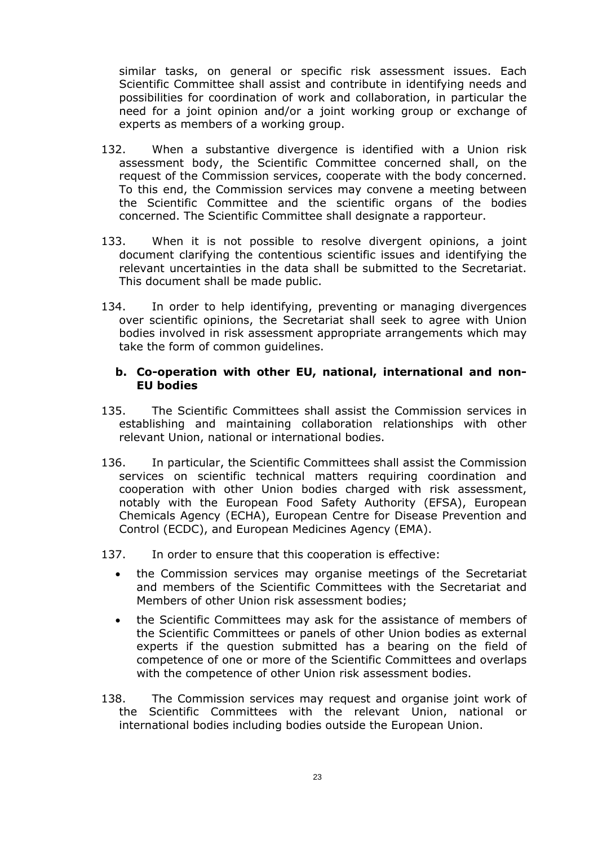similar tasks, on general or specific risk assessment issues. Each Scientific Committee shall assist and contribute in identifying needs and possibilities for coordination of work and collaboration, in particular the need for a joint opinion and/or a joint working group or exchange of experts as members of a working group.

- 132. When a substantive divergence is identified with a Union risk assessment body, the Scientific Committee concerned shall, on the request of the Commission services, cooperate with the body concerned. To this end, the Commission services may convene a meeting between the Scientific Committee and the scientific organs of the bodies concerned. The Scientific Committee shall designate a rapporteur.
- 133. When it is not possible to resolve divergent opinions, a joint document clarifying the contentious scientific issues and identifying the relevant uncertainties in the data shall be submitted to the Secretariat. This document shall be made public.
- 134. In order to help identifying, preventing or managing divergences over scientific opinions, the Secretariat shall seek to agree with Union bodies involved in risk assessment appropriate arrangements which may take the form of common guidelines.

#### <span id="page-22-0"></span>**b. Co-operation with other EU, national, international and non-EU bodies**

- 135. The Scientific Committees shall assist the Commission services in establishing and maintaining collaboration relationships with other relevant Union, national or international bodies.
- 136. In particular, the Scientific Committees shall assist the Commission services on scientific technical matters requiring coordination and cooperation with other Union bodies charged with risk assessment, notably with the European Food Safety Authority (EFSA), European Chemicals Agency (ECHA), European Centre for Disease Prevention and Control (ECDC), and European Medicines Agency (EMA).
- 137. In order to ensure that this cooperation is effective:
	- the Commission services may organise meetings of the Secretariat and members of the Scientific Committees with the Secretariat and Members of other Union risk assessment bodies;
	- the Scientific Committees may ask for the assistance of members of the Scientific Committees or panels of other Union bodies as external experts if the question submitted has a bearing on the field of competence of one or more of the Scientific Committees and overlaps with the competence of other Union risk assessment bodies.
- 138. The Commission services may request and organise joint work of the Scientific Committees with the relevant Union, national or international bodies including bodies outside the European Union.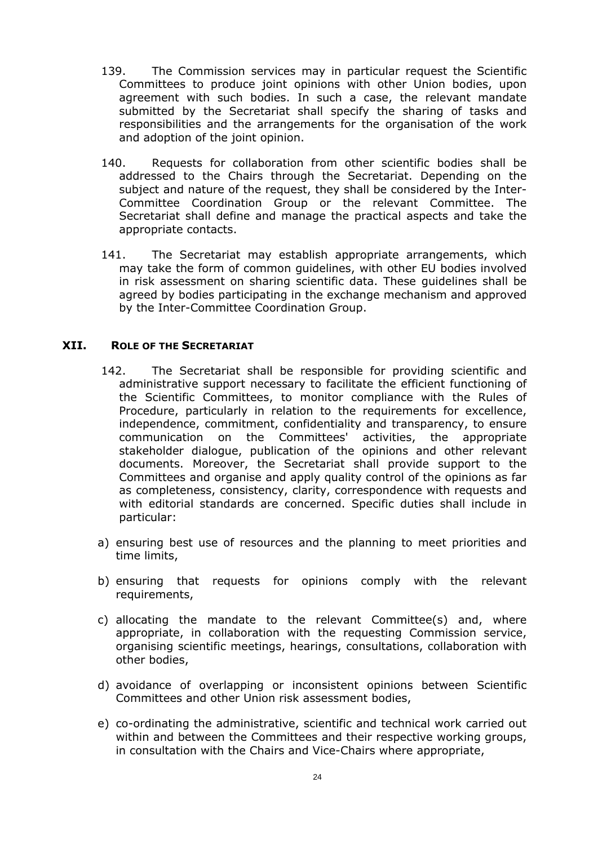- 139. The Commission services may in particular request the Scientific Committees to produce joint opinions with other Union bodies, upon agreement with such bodies. In such a case, the relevant mandate submitted by the Secretariat shall specify the sharing of tasks and responsibilities and the arrangements for the organisation of the work and adoption of the joint opinion.
- 140. Requests for collaboration from other scientific bodies shall be addressed to the Chairs through the Secretariat. Depending on the subject and nature of the request, they shall be considered by the Inter-Committee Coordination Group or the relevant Committee. The Secretariat shall define and manage the practical aspects and take the appropriate contacts.
- 141. The Secretariat may establish appropriate arrangements, which may take the form of common guidelines, with other EU bodies involved in risk assessment on sharing scientific data. These guidelines shall be agreed by bodies participating in the exchange mechanism and approved by the Inter-Committee Coordination Group.

#### <span id="page-23-0"></span>**XII. ROLE OF THE SECRETARIAT**

- 142. The Secretariat shall be responsible for providing scientific and administrative support necessary to facilitate the efficient functioning of the Scientific Committees, to monitor compliance with the Rules of Procedure, particularly in relation to the requirements for excellence, independence, commitment, confidentiality and transparency, to ensure communication on the Committees' activities, the appropriate stakeholder dialogue, publication of the opinions and other relevant documents. Moreover, the Secretariat shall provide support to the Committees and organise and apply quality control of the opinions as far as completeness, consistency, clarity, correspondence with requests and with editorial standards are concerned. Specific duties shall include in particular:
- a) ensuring best use of resources and the planning to meet priorities and time limits,
- b) ensuring that requests for opinions comply with the relevant requirements,
- c) allocating the mandate to the relevant Committee(s) and, where appropriate, in collaboration with the requesting Commission service, organising scientific meetings, hearings, consultations, collaboration with other bodies,
- d) avoidance of overlapping or inconsistent opinions between Scientific Committees and other Union risk assessment bodies,
- e) co-ordinating the administrative, scientific and technical work carried out within and between the Committees and their respective working groups, in consultation with the Chairs and Vice-Chairs where appropriate,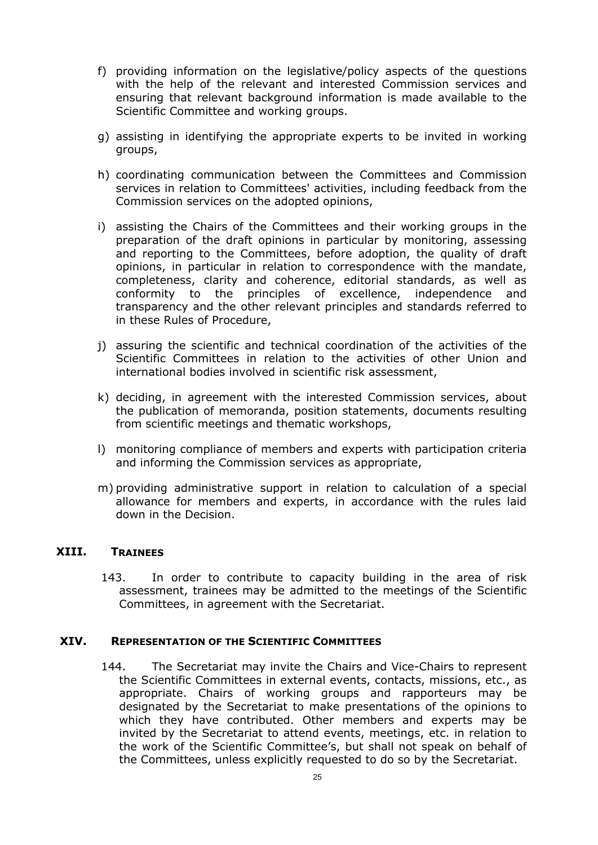- f) providing information on the legislative/policy aspects of the questions with the help of the relevant and interested Commission services and ensuring that relevant background information is made available to the Scientific Committee and working groups.
- g) assisting in identifying the appropriate experts to be invited in working groups,
- h) coordinating communication between the Committees and Commission services in relation to Committees' activities, including feedback from the Commission services on the adopted opinions,
- i) assisting the Chairs of the Committees and their working groups in the preparation of the draft opinions in particular by monitoring, assessing and reporting to the Committees, before adoption, the quality of draft opinions, in particular in relation to correspondence with the mandate, completeness, clarity and coherence, editorial standards, as well as conformity to the principles of excellence, independence and transparency and the other relevant principles and standards referred to in these Rules of Procedure,
- j) assuring the scientific and technical coordination of the activities of the Scientific Committees in relation to the activities of other Union and international bodies involved in scientific risk assessment,
- k) deciding, in agreement with the interested Commission services, about the publication of memoranda, position statements, documents resulting from scientific meetings and thematic workshops,
- l) monitoring compliance of members and experts with participation criteria and informing the Commission services as appropriate,
- m) providing administrative support in relation to calculation of a special allowance for members and experts, in accordance with the rules laid down in the Decision.

#### <span id="page-24-0"></span>**XIII. TRAINEES**

143. In order to contribute to capacity building in the area of risk assessment, trainees may be admitted to the meetings of the Scientific Committees, in agreement with the Secretariat.

#### <span id="page-24-1"></span>**XIV. REPRESENTATION OF THE SCIENTIFIC COMMITTEES**

144. The Secretariat may invite the Chairs and Vice-Chairs to represent the Scientific Committees in external events, contacts, missions, etc., as appropriate. Chairs of working groups and rapporteurs may be designated by the Secretariat to make presentations of the opinions to which they have contributed. Other members and experts may be invited by the Secretariat to attend events, meetings, etc. in relation to the work of the Scientific Committee's, but shall not speak on behalf of the Committees, unless explicitly requested to do so by the Secretariat.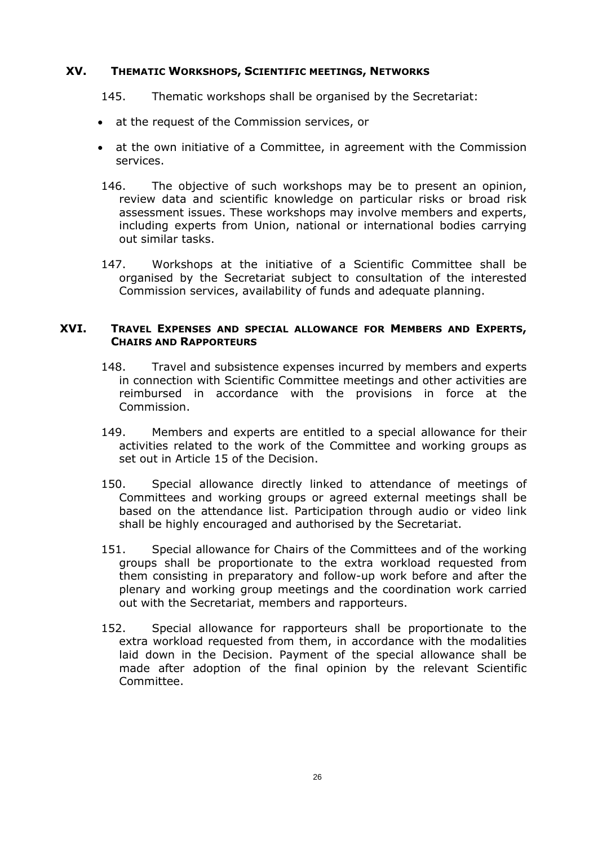## <span id="page-25-0"></span>**XV. THEMATIC WORKSHOPS, SCIENTIFIC MEETINGS, NETWORKS**

#### 145. Thematic workshops shall be organised by the Secretariat:

- at the request of the Commission services, or
- at the own initiative of a Committee, in agreement with the Commission services.
- 146. The objective of such workshops may be to present an opinion, review data and scientific knowledge on particular risks or broad risk assessment issues. These workshops may involve members and experts, including experts from Union, national or international bodies carrying out similar tasks.
- 147. Workshops at the initiative of a Scientific Committee shall be organised by the Secretariat subject to consultation of the interested Commission services, availability of funds and adequate planning.

## <span id="page-25-3"></span><span id="page-25-2"></span>**XVI. TRAVEL EXPENSES AND SPECIAL ALLOWANCE FOR MEMBERS AND EXPERTS, CHAIRS AND RAPPORTEURS**

- 148. Travel and subsistence expenses incurred by members and experts in connection with Scientific Committee meetings and other activities are reimbursed in accordance with the provisions in force at the Commission.
- 149. Members and experts are entitled to a special allowance for their activities related to the work of the Committee and working groups as set out in Article 15 of the Decision.
- 150. Special allowance directly linked to attendance of meetings of Committees and working groups or agreed external meetings shall be based on the attendance list. Participation through audio or video link shall be highly encouraged and authorised by the Secretariat.
- 151. Special allowance for Chairs of the Committees and of the working groups shall be proportionate to the extra workload requested from them consisting in preparatory and follow-up work before and after the plenary and working group meetings and the coordination work carried out with the Secretariat, members and rapporteurs.
- <span id="page-25-1"></span>152. Special allowance for rapporteurs shall be proportionate to the extra workload requested from them, in accordance with the modalities laid down in the Decision. Payment of the special allowance shall be made after adoption of the final opinion by the relevant Scientific Committee.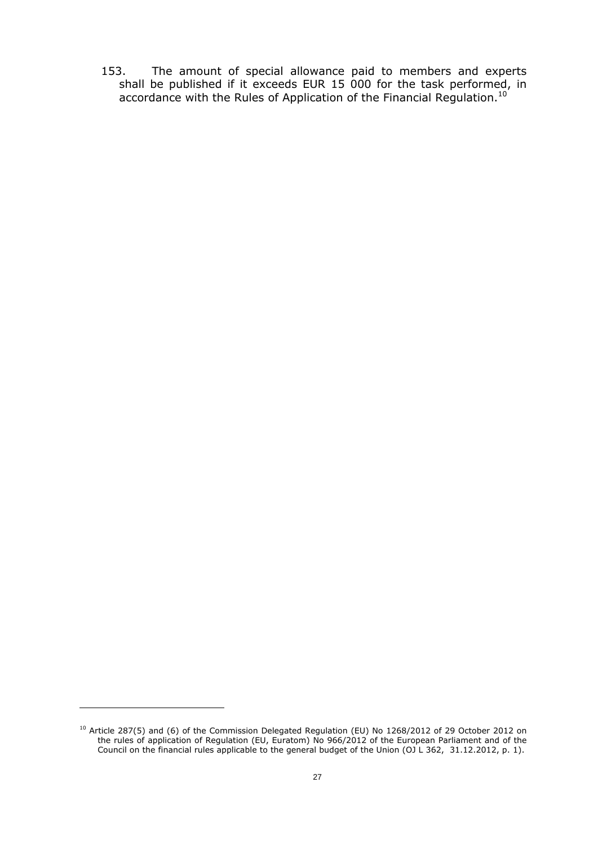153. The amount of special allowance paid to members and experts shall be published if it exceeds EUR 15 000 for the task performed, in accordance with the Rules of Application of the Financial Regulation.<sup>10</sup>

 $\overline{a}$ 

 $^{10}$  Article 287(5) and (6) of the Commission Delegated Regulation (EU) No 1268/2012 of 29 October 2012 on the rules of application of Regulation (EU, Euratom) No 966/2012 of the European Parliament and of the Council on the financial rules applicable to the general budget of the Union (OJ L 362, 31.12.2012, p. 1).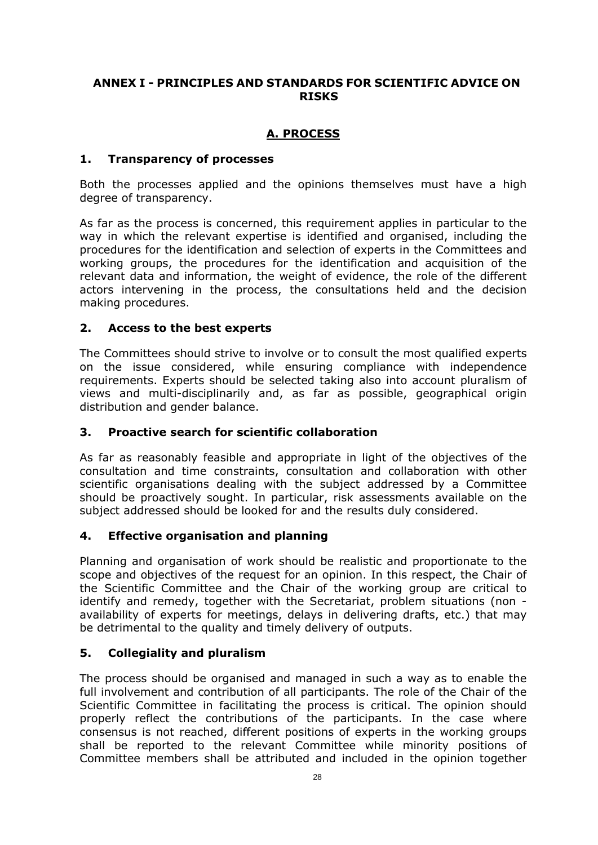# <span id="page-27-0"></span>**ANNEX I - PRINCIPLES AND STANDARDS FOR SCIENTIFIC ADVICE ON RISKS**

# **A. PROCESS**

## **1. Transparency of processes**

Both the processes applied and the opinions themselves must have a high degree of transparency.

As far as the process is concerned, this requirement applies in particular to the way in which the relevant expertise is identified and organised, including the procedures for the identification and selection of experts in the Committees and working groups, the procedures for the identification and acquisition of the relevant data and information, the weight of evidence, the role of the different actors intervening in the process, the consultations held and the decision making procedures.

# **2. Access to the best experts**

The Committees should strive to involve or to consult the most qualified experts on the issue considered, while ensuring compliance with independence requirements. Experts should be selected taking also into account pluralism of views and multi-disciplinarily and, as far as possible, geographical origin distribution and gender balance.

# **3. Proactive search for scientific collaboration**

As far as reasonably feasible and appropriate in light of the objectives of the consultation and time constraints, consultation and collaboration with other scientific organisations dealing with the subject addressed by a Committee should be proactively sought. In particular, risk assessments available on the subject addressed should be looked for and the results duly considered.

#### **4. Effective organisation and planning**

Planning and organisation of work should be realistic and proportionate to the scope and objectives of the request for an opinion. In this respect, the Chair of the Scientific Committee and the Chair of the working group are critical to identify and remedy, together with the Secretariat, problem situations (non availability of experts for meetings, delays in delivering drafts, etc.) that may be detrimental to the quality and timely delivery of outputs.

# **5. Collegiality and pluralism**

The process should be organised and managed in such a way as to enable the full involvement and contribution of all participants. The role of the Chair of the Scientific Committee in facilitating the process is critical. The opinion should properly reflect the contributions of the participants. In the case where consensus is not reached, different positions of experts in the working groups shall be reported to the relevant Committee while minority positions of Committee members shall be attributed and included in the opinion together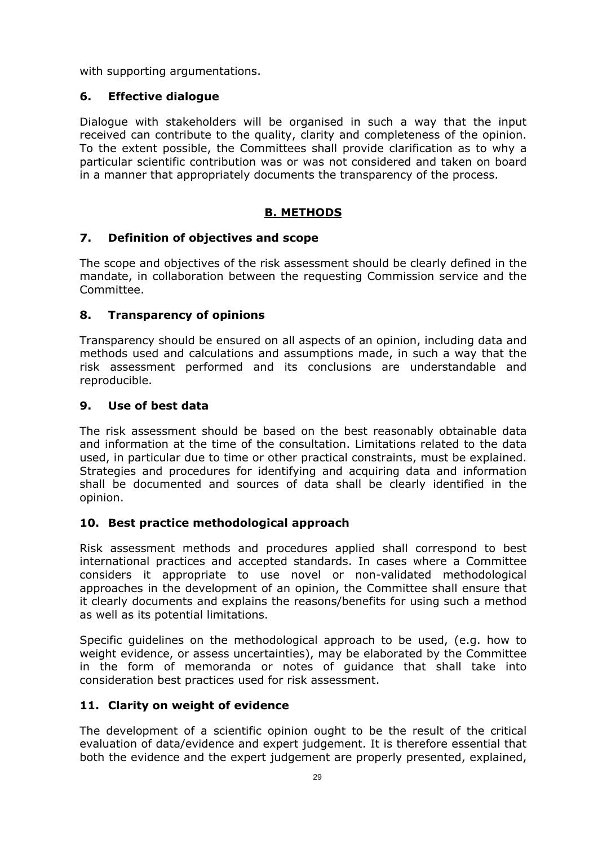with supporting argumentations.

# **6. Effective dialogue**

Dialogue with stakeholders will be organised in such a way that the input received can contribute to the quality, clarity and completeness of the opinion. To the extent possible, the Committees shall provide clarification as to why a particular scientific contribution was or was not considered and taken on board in a manner that appropriately documents the transparency of the process.

# **B. METHODS**

# **7. Definition of objectives and scope**

The scope and objectives of the risk assessment should be clearly defined in the mandate, in collaboration between the requesting Commission service and the Committee.

# **8. Transparency of opinions**

Transparency should be ensured on all aspects of an opinion, including data and methods used and calculations and assumptions made, in such a way that the risk assessment performed and its conclusions are understandable and reproducible.

# **9. Use of best data**

The risk assessment should be based on the best reasonably obtainable data and information at the time of the consultation. Limitations related to the data used, in particular due to time or other practical constraints, must be explained. Strategies and procedures for identifying and acquiring data and information shall be documented and sources of data shall be clearly identified in the opinion.

# **10. Best practice methodological approach**

Risk assessment methods and procedures applied shall correspond to best international practices and accepted standards. In cases where a Committee considers it appropriate to use novel or non-validated methodological approaches in the development of an opinion, the Committee shall ensure that it clearly documents and explains the reasons/benefits for using such a method as well as its potential limitations.

Specific guidelines on the methodological approach to be used, (e.g. how to weight evidence, or assess uncertainties), may be elaborated by the Committee in the form of memoranda or notes of guidance that shall take into consideration best practices used for risk assessment.

# **11. Clarity on weight of evidence**

The development of a scientific opinion ought to be the result of the critical evaluation of data/evidence and expert judgement. It is therefore essential that both the evidence and the expert judgement are properly presented, explained,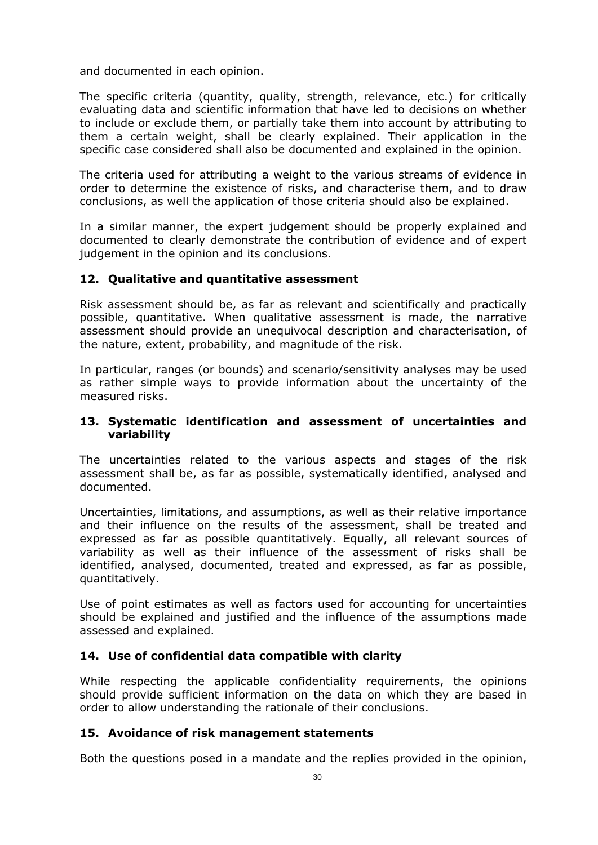and documented in each opinion.

The specific criteria (quantity, quality, strength, relevance, etc.) for critically evaluating data and scientific information that have led to decisions on whether to include or exclude them, or partially take them into account by attributing to them a certain weight, shall be clearly explained. Their application in the specific case considered shall also be documented and explained in the opinion.

The criteria used for attributing a weight to the various streams of evidence in order to determine the existence of risks, and characterise them, and to draw conclusions, as well the application of those criteria should also be explained.

In a similar manner, the expert judgement should be properly explained and documented to clearly demonstrate the contribution of evidence and of expert judgement in the opinion and its conclusions.

# **12. Qualitative and quantitative assessment**

Risk assessment should be, as far as relevant and scientifically and practically possible, quantitative. When qualitative assessment is made, the narrative assessment should provide an unequivocal description and characterisation, of the nature, extent, probability, and magnitude of the risk.

In particular, ranges (or bounds) and scenario/sensitivity analyses may be used as rather simple ways to provide information about the uncertainty of the measured risks.

## **13. Systematic identification and assessment of uncertainties and variability**

The uncertainties related to the various aspects and stages of the risk assessment shall be, as far as possible, systematically identified, analysed and documented.

Uncertainties, limitations, and assumptions, as well as their relative importance and their influence on the results of the assessment, shall be treated and expressed as far as possible quantitatively. Equally, all relevant sources of variability as well as their influence of the assessment of risks shall be identified, analysed, documented, treated and expressed, as far as possible, quantitatively.

Use of point estimates as well as factors used for accounting for uncertainties should be explained and justified and the influence of the assumptions made assessed and explained.

# **14. Use of confidential data compatible with clarity**

While respecting the applicable confidentiality requirements, the opinions should provide sufficient information on the data on which they are based in order to allow understanding the rationale of their conclusions.

#### **15. Avoidance of risk management statements**

Both the questions posed in a mandate and the replies provided in the opinion,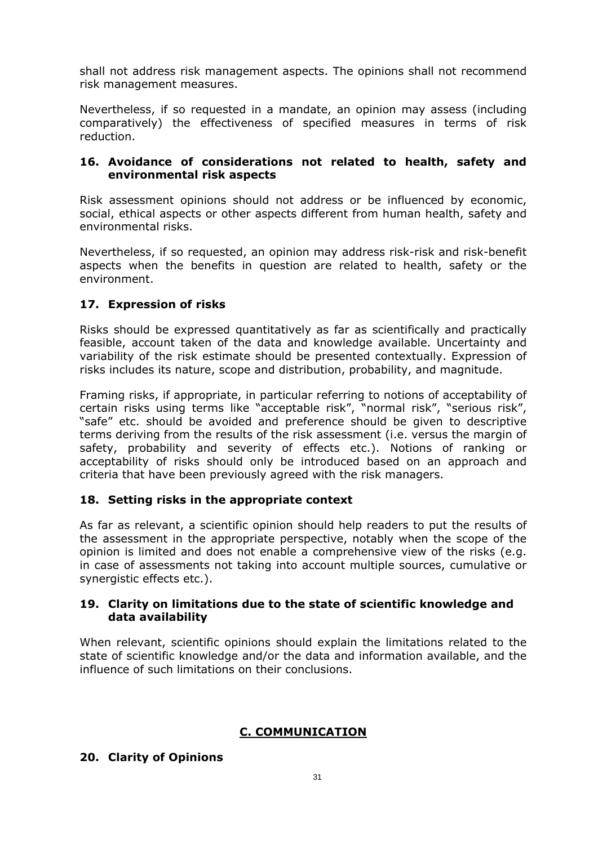shall not address risk management aspects. The opinions shall not recommend risk management measures.

Nevertheless, if so requested in a mandate, an opinion may assess (including comparatively) the effectiveness of specified measures in terms of risk reduction.

## **16. Avoidance of considerations not related to health, safety and environmental risk aspects**

Risk assessment opinions should not address or be influenced by economic, social, ethical aspects or other aspects different from human health, safety and environmental risks.

Nevertheless, if so requested, an opinion may address risk-risk and risk-benefit aspects when the benefits in question are related to health, safety or the environment.

# **17. Expression of risks**

Risks should be expressed quantitatively as far as scientifically and practically feasible, account taken of the data and knowledge available. Uncertainty and variability of the risk estimate should be presented contextually. Expression of risks includes its nature, scope and distribution, probability, and magnitude.

Framing risks, if appropriate, in particular referring to notions of acceptability of certain risks using terms like "acceptable risk", "normal risk", "serious risk", "safe" etc. should be avoided and preference should be given to descriptive terms deriving from the results of the risk assessment (i.e. versus the margin of safety, probability and severity of effects etc.). Notions of ranking or acceptability of risks should only be introduced based on an approach and criteria that have been previously agreed with the risk managers.

#### **18. Setting risks in the appropriate context**

As far as relevant, a scientific opinion should help readers to put the results of the assessment in the appropriate perspective, notably when the scope of the opinion is limited and does not enable a comprehensive view of the risks (e.g. in case of assessments not taking into account multiple sources, cumulative or synergistic effects etc.).

#### **19. Clarity on limitations due to the state of scientific knowledge and data availability**

When relevant, scientific opinions should explain the limitations related to the state of scientific knowledge and/or the data and information available, and the influence of such limitations on their conclusions.

# **C. COMMUNICATION**

#### **20. Clarity of Opinions**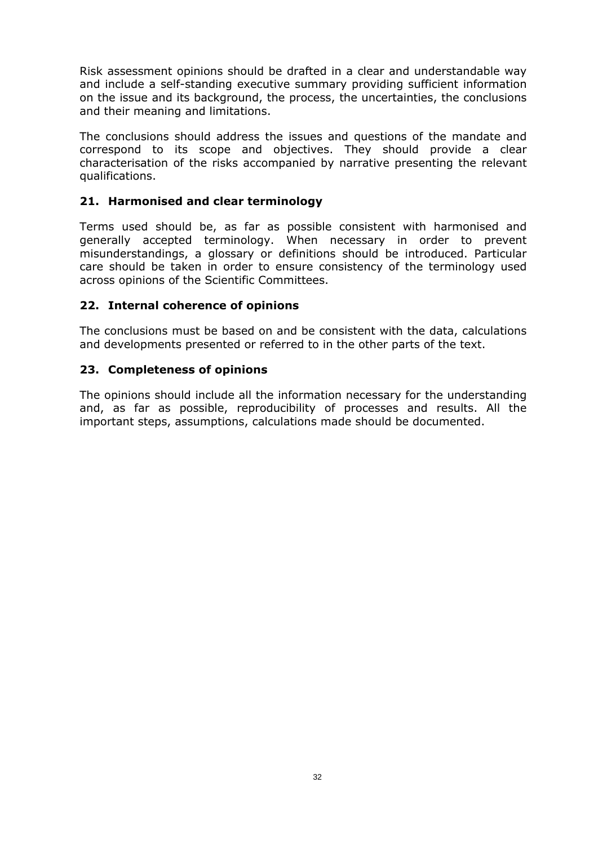Risk assessment opinions should be drafted in a clear and understandable way and include a self-standing executive summary providing sufficient information on the issue and its background, the process, the uncertainties, the conclusions and their meaning and limitations.

The conclusions should address the issues and questions of the mandate and correspond to its scope and objectives. They should provide a clear characterisation of the risks accompanied by narrative presenting the relevant qualifications.

# **21. Harmonised and clear terminology**

Terms used should be, as far as possible consistent with harmonised and generally accepted terminology. When necessary in order to prevent misunderstandings, a glossary or definitions should be introduced. Particular care should be taken in order to ensure consistency of the terminology used across opinions of the Scientific Committees.

# **22. Internal coherence of opinions**

The conclusions must be based on and be consistent with the data, calculations and developments presented or referred to in the other parts of the text.

# **23. Completeness of opinions**

The opinions should include all the information necessary for the understanding and, as far as possible, reproducibility of processes and results. All the important steps, assumptions, calculations made should be documented.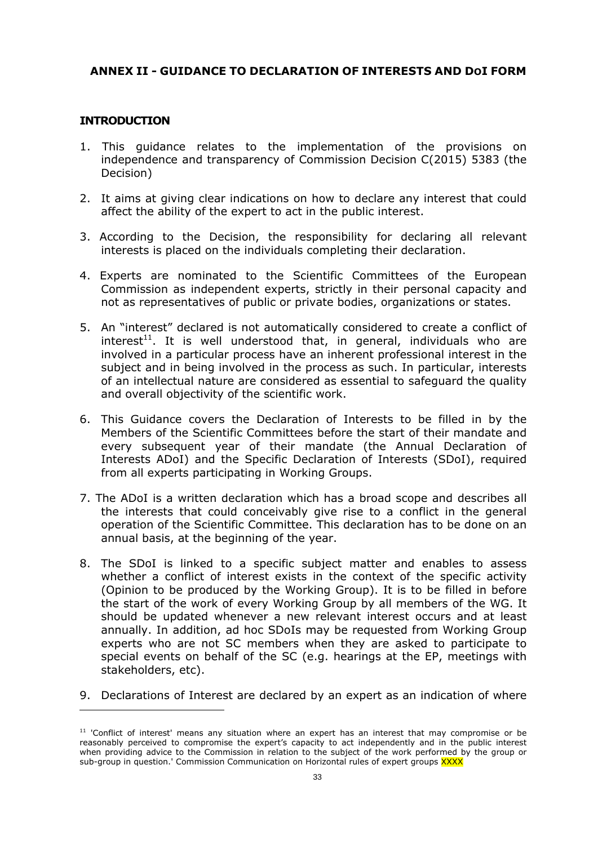# <span id="page-32-0"></span>**ANNEX II - GUIDANCE TO DECLARATION OF INTERESTS AND DOI FORM**

#### **INTRODUCTION**

 $\overline{a}$ 

- 1. This guidance relates to the implementation of the provisions on independence and transparency of Commission Decision C(2015) 5383 (the Decision)
- 2. It aims at giving clear indications on how to declare any interest that could affect the ability of the expert to act in the public interest.
- 3. According to the Decision, the responsibility for declaring all relevant interests is placed on the individuals completing their declaration.
- 4. Experts are nominated to the Scientific Committees of the European Commission as independent experts, strictly in their personal capacity and not as representatives of public or private bodies, organizations or states.
- 5. An "interest" declared is not automatically considered to create a conflict of interest<sup>11</sup>. It is well understood that, in general, individuals who are involved in a particular process have an inherent professional interest in the subject and in being involved in the process as such. In particular, interests of an intellectual nature are considered as essential to safeguard the quality and overall objectivity of the scientific work.
- 6. This Guidance covers the Declaration of Interests to be filled in by the Members of the Scientific Committees before the start of their mandate and every subsequent year of their mandate (the Annual Declaration of Interests ADoI) and the Specific Declaration of Interests (SDoI), required from all experts participating in Working Groups.
- 7. The ADoI is a written declaration which has a broad scope and describes all the interests that could conceivably give rise to a conflict in the general operation of the Scientific Committee. This declaration has to be done on an annual basis, at the beginning of the year.
- 8. The SDoI is linked to a specific subject matter and enables to assess whether a conflict of interest exists in the context of the specific activity (Opinion to be produced by the Working Group). It is to be filled in before the start of the work of every Working Group by all members of the WG. It should be updated whenever a new relevant interest occurs and at least annually. In addition, ad hoc SDoIs may be requested from Working Group experts who are not SC members when they are asked to participate to special events on behalf of the SC (e.g. hearings at the EP, meetings with stakeholders, etc).
- 9. Declarations of Interest are declared by an expert as an indication of where

 $11$  'Conflict of interest' means any situation where an expert has an interest that may compromise or be reasonably perceived to compromise the expert's capacity to act independently and in the public interest when providing advice to the Commission in relation to the subject of the work performed by the group or sub-group in question.' Commission Communication on Horizontal rules of expert groups XXXX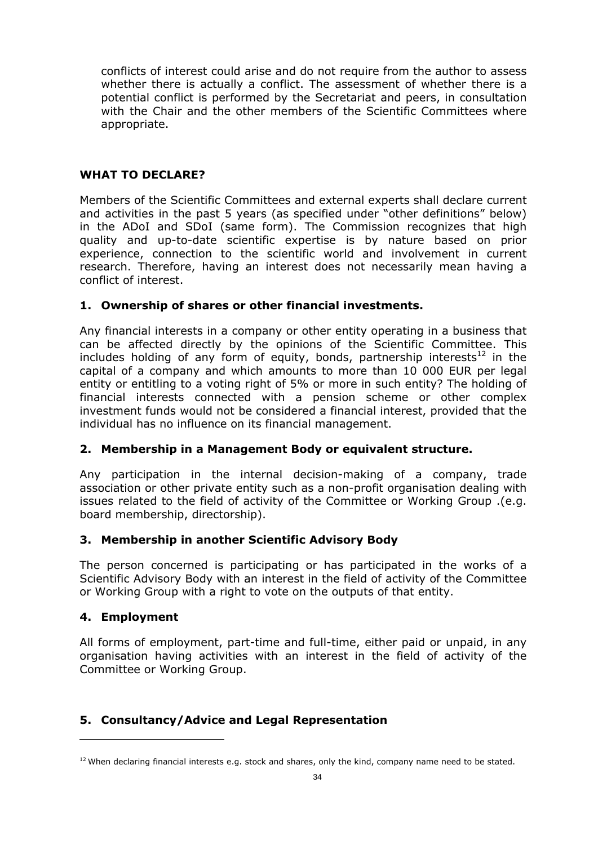conflicts of interest could arise and do not require from the author to assess whether there is actually a conflict. The assessment of whether there is a potential conflict is performed by the Secretariat and peers, in consultation with the Chair and the other members of the Scientific Committees where appropriate.

# **WHAT TO DECLARE?**

Members of the Scientific Committees and external experts shall declare current and activities in the past 5 years (as specified under "other definitions" below) in the ADoI and SDoI (same form). The Commission recognizes that high quality and up-to-date scientific expertise is by nature based on prior experience, connection to the scientific world and involvement in current research. Therefore, having an interest does not necessarily mean having a conflict of interest.

#### **1. Ownership of shares or other financial investments.**

Any financial interests in a company or other entity operating in a business that can be affected directly by the opinions of the Scientific Committee. This includes holding of any form of equity, bonds, partnership interests<sup>12</sup> in the capital of a company and which amounts to more than 10 000 EUR per legal entity or entitling to a voting right of 5% or more in such entity? The holding of financial interests connected with a pension scheme or other complex investment funds would not be considered a financial interest, provided that the individual has no influence on its financial management.

# **2. Membership in a Management Body or equivalent structure.**

Any participation in the internal decision-making of a company, trade association or other private entity such as a non-profit organisation dealing with issues related to the field of activity of the Committee or Working Group .(e.g. board membership, directorship).

#### **3. Membership in another Scientific Advisory Body**

The person concerned is participating or has participated in the works of a Scientific Advisory Body with an interest in the field of activity of the Committee or Working Group with a right to vote on the outputs of that entity.

#### **4. Employment**

 $\overline{a}$ 

All forms of employment, part-time and full-time, either paid or unpaid, in any organisation having activities with an interest in the field of activity of the Committee or Working Group.

# **5. Consultancy/Advice and Legal Representation**

 $12$  When declaring financial interests e.g. stock and shares, only the kind, company name need to be stated.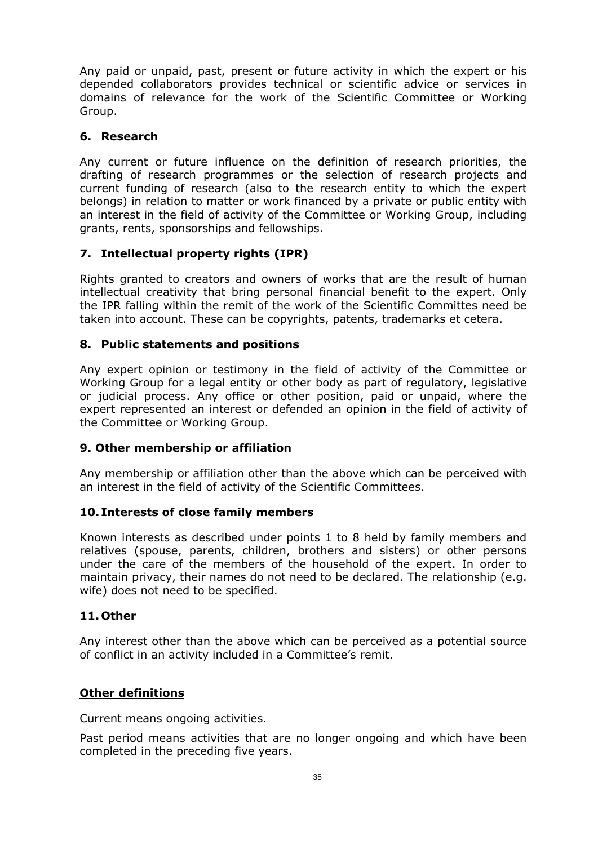Any paid or unpaid, past, present or future activity in which the expert or his depended collaborators provides technical or scientific advice or services in domains of relevance for the work of the Scientific Committee or Working Group.

## **6. Research**

Any current or future influence on the definition of research priorities, the drafting of research programmes or the selection of research projects and current funding of research (also to the research entity to which the expert belongs) in relation to matter or work financed by a private or public entity with an interest in the field of activity of the Committee or Working Group, including grants, rents, sponsorships and fellowships.

# **7. Intellectual property rights (IPR)**

Rights granted to creators and owners of works that are the result of human intellectual creativity that bring personal financial benefit to the expert. Only the IPR falling within the remit of the work of the Scientific Committes need be taken into account. These can be copyrights, patents, trademarks et cetera.

# **8. Public statements and positions**

Any expert opinion or testimony in the field of activity of the Committee or Working Group for a legal entity or other body as part of regulatory, legislative or judicial process. Any office or other position, paid or unpaid, where the expert represented an interest or defended an opinion in the field of activity of the Committee or Working Group.

# **9. Other membership or affiliation**

Any membership or affiliation other than the above which can be perceived with an interest in the field of activity of the Scientific Committees.

#### **10. Interests of close family members**

Known interests as described under points 1 to 8 held by family members and relatives (spouse, parents, children, brothers and sisters) or other persons under the care of the members of the household of the expert. In order to maintain privacy, their names do not need to be declared. The relationship (e.g. wife) does not need to be specified.

#### **11. Other**

Any interest other than the above which can be perceived as a potential source of conflict in an activity included in a Committee's remit.

#### **Other definitions**

Current means ongoing activities.

Past period means activities that are no longer ongoing and which have been completed in the preceding five years.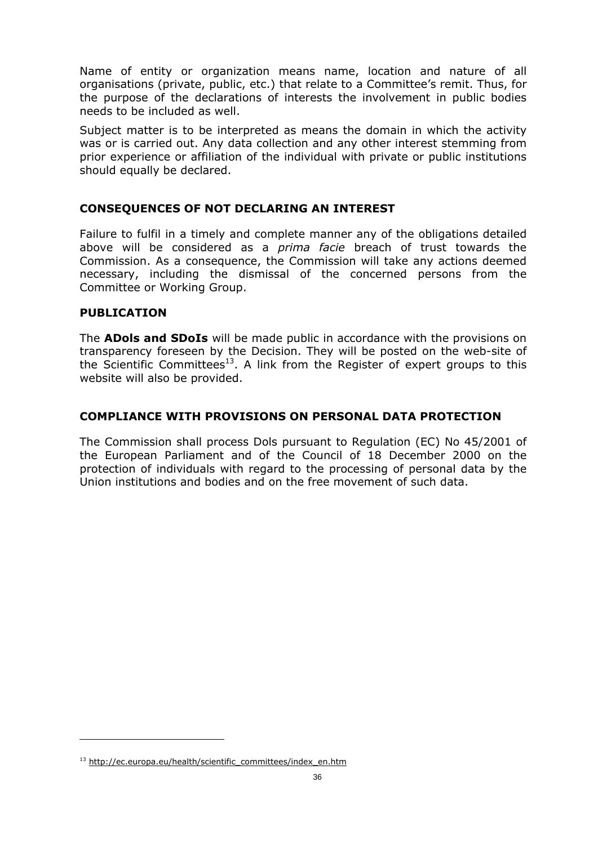Name of entity or organization means name, location and nature of all organisations (private, public, etc.) that relate to a Committee's remit. Thus, for the purpose of the declarations of interests the involvement in public bodies needs to be included as well.

Subject matter is to be interpreted as means the domain in which the activity was or is carried out. Any data collection and any other interest stemming from prior experience or affiliation of the individual with private or public institutions should equally be declared.

# **CONSEQUENCES OF NOT DECLARING AN INTEREST**

Failure to fulfil in a timely and complete manner any of the obligations detailed above will be considered as a *prima facie* breach of trust towards the Commission. As a consequence, the Commission will take any actions deemed necessary, including the dismissal of the concerned persons from the Committee or Working Group.

#### **PUBLICATION**

 $\overline{a}$ 

The **ADols and SDoIs** will be made public in accordance with the provisions on transparency foreseen by the Decision. They will be posted on the web-site of the Scientific Committees<sup>13</sup>. A link from the Register of expert groups to this website will also be provided.

#### **COMPLIANCE WITH PROVISIONS ON PERSONAL DATA PROTECTION**

The Commission shall process Dols pursuant to Regulation (EC) No 45/2001 of the European Parliament and of the Council of 18 December 2000 on the protection of individuals with regard to the processing of personal data by the Union institutions and bodies and on the free movement of such data.

<sup>&</sup>lt;sup>13</sup> [http://ec.europa.eu/health/scientif](http://ec.europa.eu/health/scientific_committees/index_en.htm)ic\_committees/index\_en.htm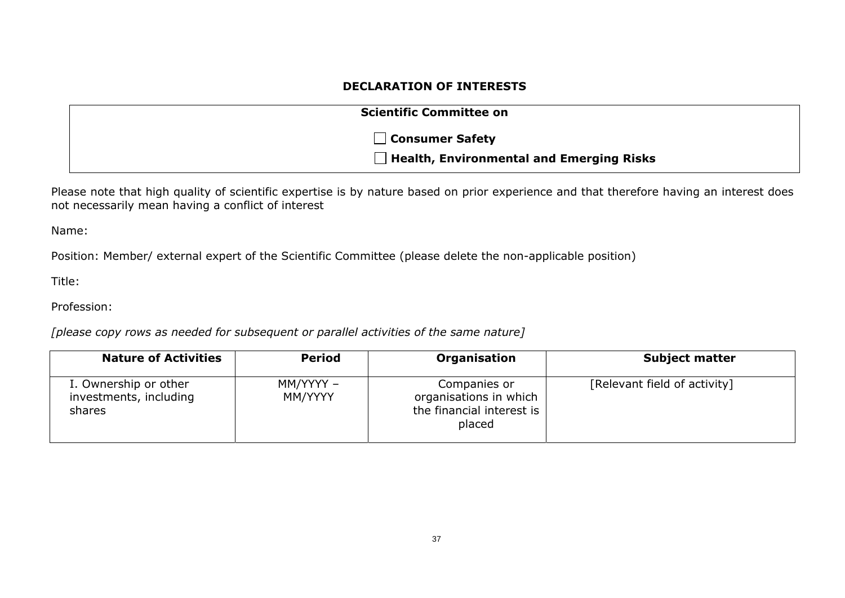## **DECLARATION OF INTERESTS**

| <b>Scientific Committee on</b>                  |
|-------------------------------------------------|
| □ Consumer Safety                               |
| $\Box$ Health, Environmental and Emerging Risks |

Please note that high quality of scientific expertise is by nature based on prior experience and that therefore having an interest does not necessarily mean having a conflict of interest

Name:

Position: Member/ external expert of the Scientific Committee (please delete the non-applicable position)

Title:

Profession:

*[please copy rows as needed for subsequent or parallel activities of the same nature]* 

| <b>Nature of Activities</b>                               | <b>Period</b>        | Organisation                                                                  | <b>Subject matter</b>        |
|-----------------------------------------------------------|----------------------|-------------------------------------------------------------------------------|------------------------------|
| I. Ownership or other<br>investments, including<br>shares | MM/YYYY -<br>MM/YYYY | Companies or<br>organisations in which<br>the financial interest is<br>placed | [Relevant field of activity] |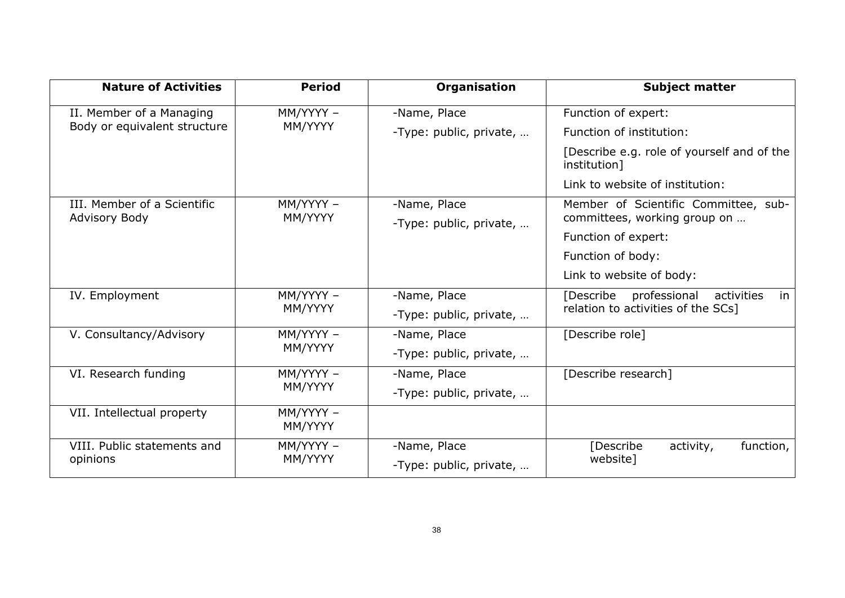| <b>Nature of Activities</b>  | <b>Period</b>        | Organisation            | <b>Subject matter</b>                                      |
|------------------------------|----------------------|-------------------------|------------------------------------------------------------|
| II. Member of a Managing     | MM/YYYY -<br>MM/YYYY | -Name, Place            | Function of expert:                                        |
| Body or equivalent structure |                      | -Type: public, private, | Function of institution:                                   |
|                              |                      |                         | [Describe e.g. role of yourself and of the<br>institution] |
|                              |                      |                         | Link to website of institution:                            |
| III. Member of a Scientific  | MM/YYYY -            | -Name, Place            | Member of Scientific Committee, sub-                       |
| <b>Advisory Body</b>         | MM/YYYY              | -Type: public, private, | committees, working group on                               |
|                              |                      |                         | Function of expert:                                        |
|                              |                      |                         | Function of body:                                          |
|                              |                      |                         | Link to website of body:                                   |
| IV. Employment               | MM/YYYY -<br>MM/YYYY | -Name, Place            | [Describe<br>professional<br>activities<br>in              |
|                              |                      | -Type: public, private, | relation to activities of the SCs]                         |
| V. Consultancy/Advisory      | MM/YYYY -            | -Name, Place            | [Describe role]                                            |
|                              | MM/YYYY              | -Type: public, private, |                                                            |
| VI. Research funding         | MM/YYYY -<br>MM/YYYY | -Name, Place            | [Describe research]                                        |
|                              |                      | -Type: public, private, |                                                            |
| VII. Intellectual property   | MM/YYYY -<br>MM/YYYY |                         |                                                            |
| VIII. Public statements and  | MM/YYYY -            | -Name, Place            | [Describe<br>function,<br>activity,                        |
| opinions                     | MM/YYYY              | -Type: public, private, | website]                                                   |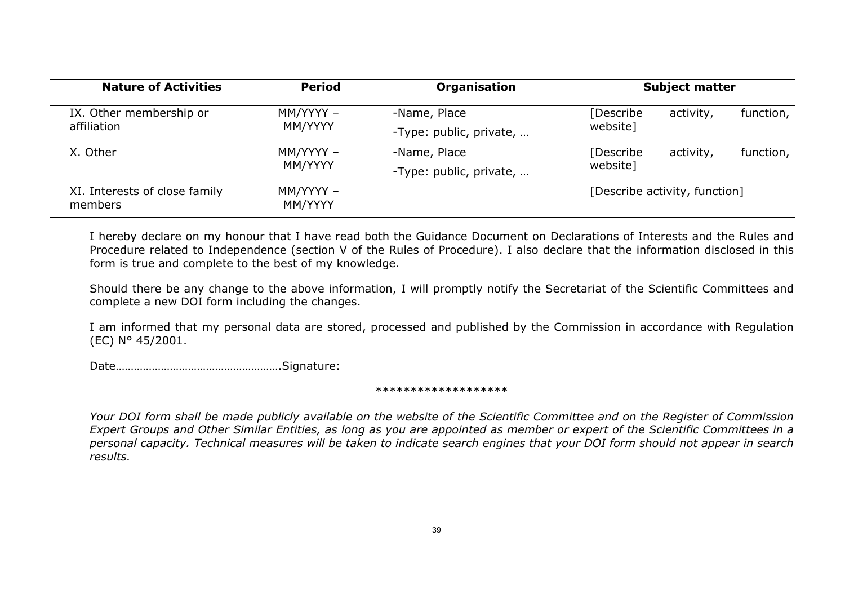| <b>Nature of Activities</b>              | <b>Period</b>        | Organisation                            | <b>Subject matter</b>                             |  |  |
|------------------------------------------|----------------------|-----------------------------------------|---------------------------------------------------|--|--|
| IX. Other membership or<br>affiliation   | MM/YYYY -<br>MM/YYYY | -Name, Place<br>-Type: public, private, | [Describe<br>activity,<br>function,  <br>website] |  |  |
| X. Other                                 | MM/YYYY -<br>MM/YYYY | -Name, Place<br>-Type: public, private, | [Describe<br>activity,<br>function,  <br>website] |  |  |
| XI. Interests of close family<br>members | MM/YYYY -<br>MM/YYYY |                                         | [Describe activity, function]                     |  |  |

I hereby declare on my honour that I have read both the Guidance Document on Declarations of Interests and the Rules and Procedure related to Independence (section V of the Rules of Procedure). I also declare that the information disclosed in this form is true and complete to the best of my knowledge.

Should there be any change to the above information, I will promptly notify the Secretariat of the Scientific Committees and complete a new DOI form including the changes.

I am informed that my personal data are stored, processed and published by the Commission in accordance with Regulation (EC) N° 45/2001.

Date……………………………………………….Signature:

#### \*\*\*\*\*\*\*\*\*\*\*\*\*\*\*\*\*

*Your DOI form shall be made publicly available on the website of the Scientific Committee and on the Register of Commission Expert Groups and Other Similar Entities, as long as you are appointed as member or expert of the Scientific Committees in a personal capacity. Technical measures will be taken to indicate search engines that your DOI form should not appear in search results.*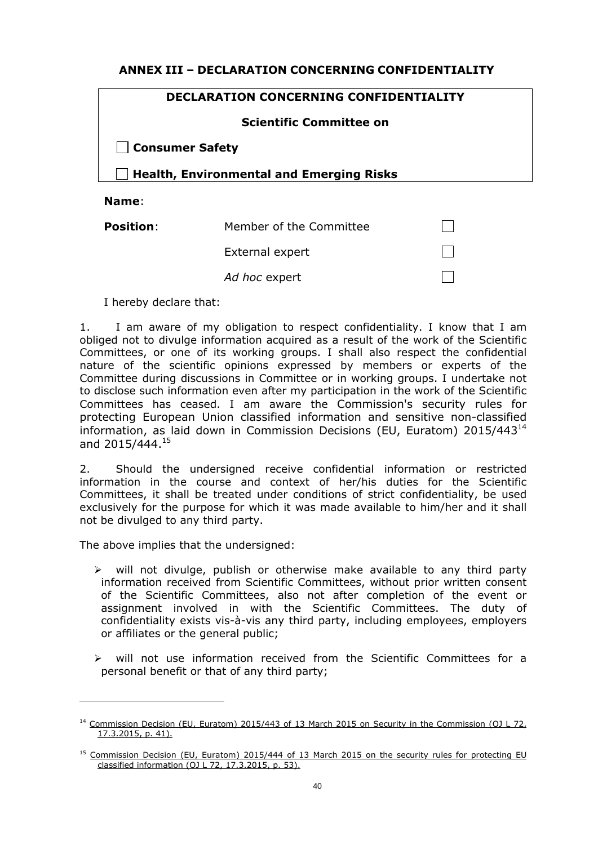# <span id="page-39-0"></span>**ANNEX III – DECLARATION CONCERNING CONFIDENTIALITY**

#### **DECLARATION CONCERNING CONFIDENTIALITY**

#### **Scientific Committee on**

**Consumer Safety** 

**Health, Environmental and Emerging Risks**

#### **Name**:

| <b>Position:</b> | Member of the Committee |  |
|------------------|-------------------------|--|
|                  | External expert         |  |
|                  | Ad hoc expert           |  |

I hereby declare that:

1. I am aware of my obligation to respect confidentiality. I know that I am obliged not to divulge information acquired as a result of the work of the Scientific Committees, or one of its working groups. I shall also respect the confidential nature of the scientific opinions expressed by members or experts of the Committee during discussions in Committee or in working groups. I undertake not to disclose such information even after my participation in the work of the Scientific Committees has ceased. I am aware the Commission's security rules for protecting European Union classified information and sensitive non-classified information, as laid down in Commission Decisions (EU, Euratom) 2015/443 $^{14}$ and 2015/444.<sup>15</sup>

2. Should the undersigned receive confidential information or restricted information in the course and context of her/his duties for the Scientific Committees, it shall be treated under conditions of strict confidentiality, be used exclusively for the purpose for which it was made available to him/her and it shall not be divulged to any third party.

The above implies that the undersigned:

 $\overline{a}$ 

- $\triangleright$  will not divulge, publish or otherwise make available to any third party information received from Scientific Committees, without prior written consent of the Scientific Committees, also not after completion of the event or assignment involved in with the Scientific Committees. The duty of confidentiality exists vis-à-vis any third party, including employees, employers or affiliates or the general public;
- $\triangleright$  will not use information received from the Scientific Committees for a personal benefit or that of any third party;

<sup>&</sup>lt;sup>14</sup> Commission Decision (EU, Euratom) 2015/443 of 13 March 2015 on Security in the Commission (OJ L 72, 17.3.2015, p. 41).

<sup>&</sup>lt;sup>15</sup> Commission Decision (EU, Euratom) 2015/444 of 13 March 2015 on the security rules for protecting EU classified information (OJ L 72, 17.3.2015, p. 53).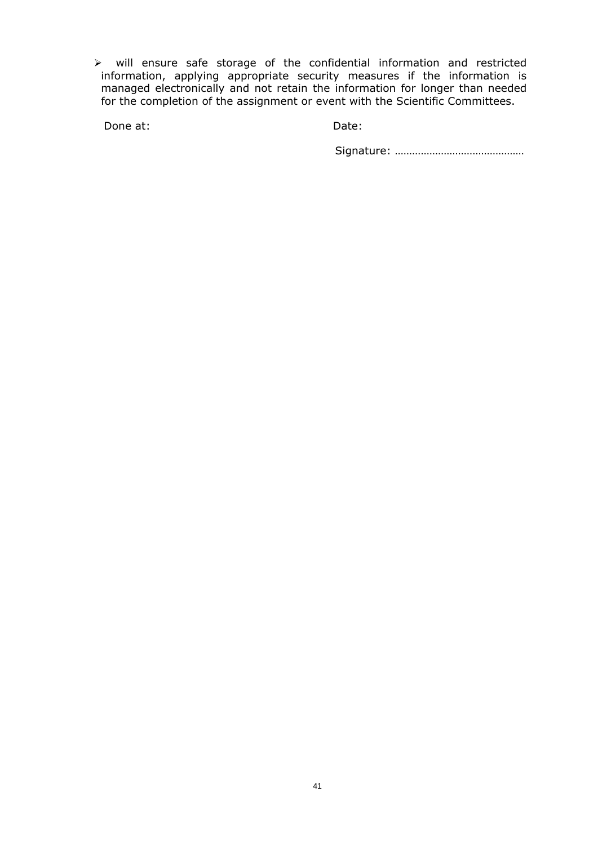$\triangleright$  will ensure safe storage of the confidential information and restricted information, applying appropriate security measures if the information is managed electronically and not retain the information for longer than needed for the completion of the assignment or event with the Scientific Committees.

Done at: Date: Date:

Signature: ………………………………………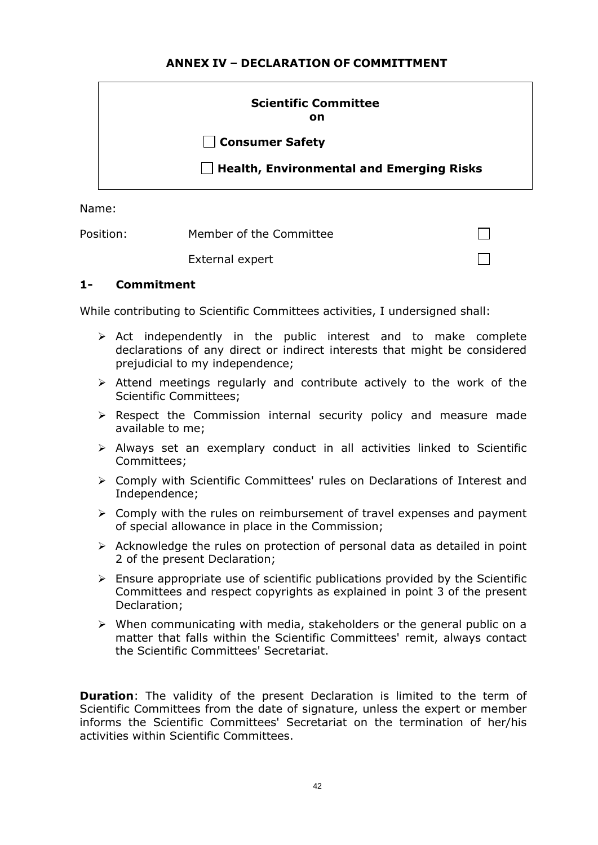# **ANNEX IV – DECLARATION OF COMMITTMENT**

<span id="page-41-0"></span>

| <b>Scientific Committee</b><br>on               |
|-------------------------------------------------|
| □ Consumer Safety                               |
| $\Box$ Health, Environmental and Emerging Risks |

Name:

Position: Member of the Committee

External expert

# **1- Commitment**

While contributing to Scientific Committees activities, I undersigned shall:

 $\triangleright$  Act independently in the public interest and to make complete declarations of any direct or indirect interests that might be considered prejudicial to my independence;

 $\Box$ 

- $\triangleright$  Attend meetings regularly and contribute actively to the work of the Scientific Committees;
- $\triangleright$  Respect the Commission internal security policy and measure made available to me;
- $\triangleright$  Always set an exemplary conduct in all activities linked to Scientific Committees;
- ¾ Comply with Scientific Committees' rules on Declarations of Interest and Independence;
- $\triangleright$  Comply with the rules on reimbursement of travel expenses and payment of special allowance in place in the Commission;
- $\triangleright$  Acknowledge the rules on protection of personal data as detailed in point 2 of the present Declaration;
- $\triangleright$  Ensure appropriate use of scientific publications provided by the Scientific Committees and respect copyrights as explained in point 3 of the present Declaration;
- $\triangleright$  When communicating with media, stakeholders or the general public on a matter that falls within the Scientific Committees' remit, always contact the Scientific Committees' Secretariat.

**Duration**: The validity of the present Declaration is limited to the term of Scientific Committees from the date of signature, unless the expert or member informs the Scientific Committees' Secretariat on the termination of her/his activities within Scientific Committees.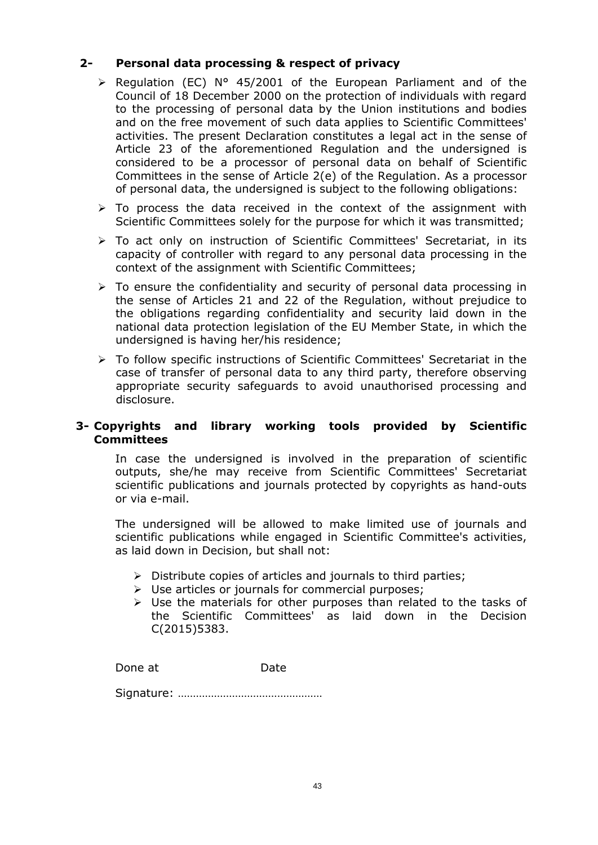# **2- Personal data processing & respect of privacy**

- ¾ Regulation (EC) N° 45/2001 of the European Parliament and of the Council of 18 December 2000 on the protection of individuals with regard to the processing of personal data by the Union institutions and bodies and on the free movement of such data applies to Scientific Committees' activities. The present Declaration constitutes a legal act in the sense of Article 23 of the aforementioned Regulation and the undersigned is considered to be a processor of personal data on behalf of Scientific Committees in the sense of Article 2(e) of the Regulation. As a processor of personal data, the undersigned is subject to the following obligations:
- $\triangleright$  To process the data received in the context of the assignment with Scientific Committees solely for the purpose for which it was transmitted;
- ¾ To act only on instruction of Scientific Committees' Secretariat, in its capacity of controller with regard to any personal data processing in the context of the assignment with Scientific Committees;
- $\triangleright$  To ensure the confidentiality and security of personal data processing in the sense of Articles 21 and 22 of the Regulation, without prejudice to the obligations regarding confidentiality and security laid down in the national data protection legislation of the EU Member State, in which the undersigned is having her/his residence;
- ¾ To follow specific instructions of Scientific Committees' Secretariat in the case of transfer of personal data to any third party, therefore observing appropriate security safeguards to avoid unauthorised processing and disclosure.

# **3- Copyrights and library working tools provided by Scientific Committees**

In case the undersigned is involved in the preparation of scientific outputs, she/he may receive from Scientific Committees' Secretariat scientific publications and journals protected by copyrights as hand-outs or via e-mail.

The undersigned will be allowed to make limited use of journals and scientific publications while engaged in Scientific Committee's activities, as laid down in Decision, but shall not:

- $\triangleright$  Distribute copies of articles and journals to third parties;
- $\triangleright$  Use articles or journals for commercial purposes;
- $\triangleright$  Use the materials for other purposes than related to the tasks of the Scientific Committees' as laid down in the Decision C(2015)5383.

Done at Date

Signature: …………………………………………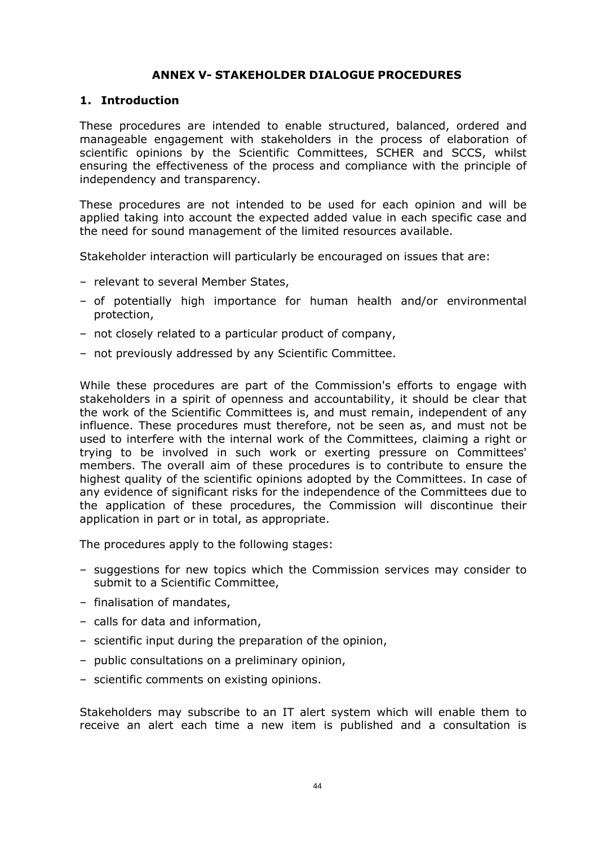# **ANNEX V- STAKEHOLDER DIALOGUE PROCEDURES**

# <span id="page-43-0"></span>**1. Introduction**

These procedures are intended to enable structured, balanced, ordered and manageable engagement with stakeholders in the process of elaboration of scientific opinions by the Scientific Committees, SCHER and SCCS, whilst ensuring the effectiveness of the process and compliance with the principle of independency and transparency.

These procedures are not intended to be used for each opinion and will be applied taking into account the expected added value in each specific case and the need for sound management of the limited resources available.

Stakeholder interaction will particularly be encouraged on issues that are:

- relevant to several Member States,
- of potentially high importance for human health and/or environmental protection,
- not closely related to a particular product of company,
- not previously addressed by any Scientific Committee.

While these procedures are part of the Commission's efforts to engage with stakeholders in a spirit of openness and accountability, it should be clear that the work of the Scientific Committees is, and must remain, independent of any influence. These procedures must therefore, not be seen as, and must not be used to interfere with the internal work of the Committees, claiming a right or trying to be involved in such work or exerting pressure on Committees' members. The overall aim of these procedures is to contribute to ensure the highest quality of the scientific opinions adopted by the Committees. In case of any evidence of significant risks for the independence of the Committees due to the application of these procedures, the Commission will discontinue their application in part or in total, as appropriate.

The procedures apply to the following stages:

- suggestions for new topics which the Commission services may consider to submit to a Scientific Committee,
- finalisation of mandates,
- calls for data and information,
- scientific input during the preparation of the opinion,
- public consultations on a preliminary opinion,
- scientific comments on existing opinions.

Stakeholders may subscribe to an IT alert system which will enable them to receive an alert each time a new item is published and a consultation is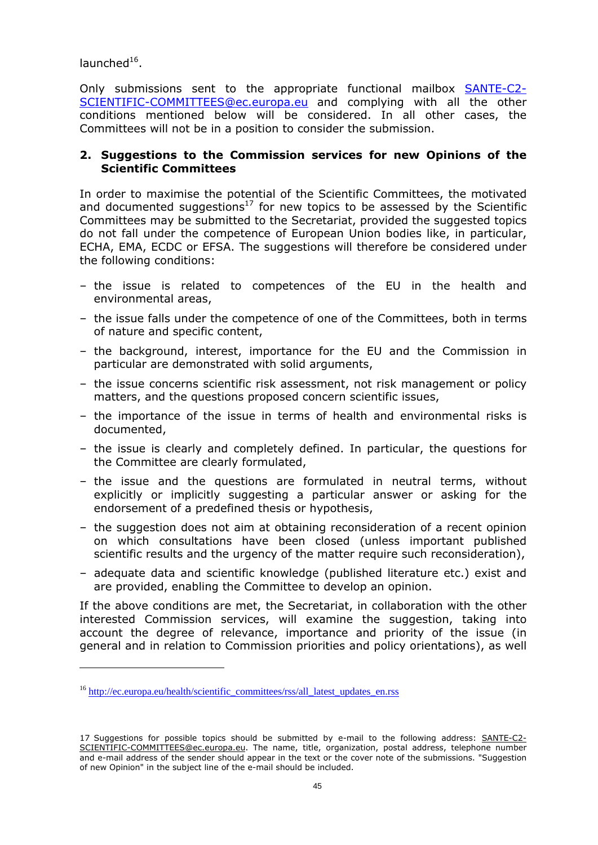$l$ aunched $16$ .

 $\overline{a}$ 

Only submissions sent to the appropriate functional mailbox [SANTE-C2-](mailto:SANTE-C2-SCIENTIFIC-COMMITTEES@ec.europa.eu) [SCIENTIFIC-COMMITTEES@ec.europa.eu](mailto:SANTE-C2-SCIENTIFIC-COMMITTEES@ec.europa.eu) and complying with all the other conditions mentioned below will be considered. In all other cases, the Committees will not be in a position to consider the submission.

# **2. Suggestions to the Commission services for new Opinions of the Scientific Committees**

In order to maximise the potential of the Scientific Committees, the motivated and documented suggestions<sup>17</sup> for new topics to be assessed by the Scientific Committees may be submitted to the Secretariat, provided the suggested topics do not fall under the competence of European Union bodies like, in particular, ECHA, EMA, ECDC or EFSA. The suggestions will therefore be considered under the following conditions:

- the issue is related to competences of the EU in the health and environmental areas,
- the issue falls under the competence of one of the Committees, both in terms of nature and specific content,
- the background, interest, importance for the EU and the Commission in particular are demonstrated with solid arguments,
- the issue concerns scientific risk assessment, not risk management or policy matters, and the questions proposed concern scientific issues,
- the importance of the issue in terms of health and environmental risks is documented,
- the issue is clearly and completely defined. In particular, the questions for the Committee are clearly formulated,
- the issue and the questions are formulated in neutral terms, without explicitly or implicitly suggesting a particular answer or asking for the endorsement of a predefined thesis or hypothesis,
- the suggestion does not aim at obtaining reconsideration of a recent opinion on which consultations have been closed (unless important published scientific results and the urgency of the matter require such reconsideration),
- adequate data and scientific knowledge (published literature etc.) exist and are provided, enabling the Committee to develop an opinion.

If the above conditions are met, the Secretariat, in collaboration with the other interested Commission services, will examine the suggestion, taking into account the degree of relevance, importance and priority of the issue (in general and in relation to Commission priorities and policy orientations), as well

<sup>&</sup>lt;sup>16</sup> [http://ec.europa.eu/health/scientific\\_committees/rss/all\\_latest\\_updates\\_en.rss](http://ec.europa.eu/health/scientific_committees/rss/all_latest_updates_en.rss)

<sup>17</sup> Suggestions for possible topics should be submitted by e-mail to the following address: [SANTE-C2-](mailto:SANTE-C2-SCIENTIFIC-COMMITTEES@ec.europa.eu) [SCIENTIFIC-COMMITTEES@ec.europa.eu.](mailto:SANTE-C2-SCIENTIFIC-COMMITTEES@ec.europa.eu) The name, title, organization, postal address, telephone number and e-mail address of the sender should appear in the text or the cover note of the submissions. "Suggestion of new Opinion" in the subject line of the e-mail should be included.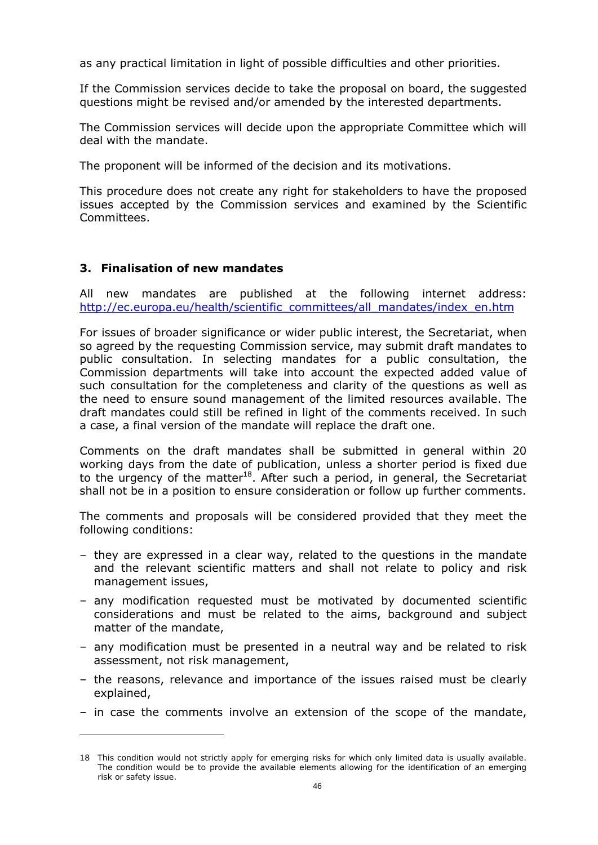as any practical limitation in light of possible difficulties and other priorities.

If the Commission services decide to take the proposal on board, the suggested questions might be revised and/or amended by the interested departments.

The Commission services will decide upon the appropriate Committee which will deal with the mandate.

The proponent will be informed of the decision and its motivations.

This procedure does not create any right for stakeholders to have the proposed issues accepted by the Commission services and examined by the Scientific Committees.

#### **3. Finalisation of new mandates**

 $\overline{a}$ 

All new mandates are published at the following internet address: [http://ec.europa.eu/health/scientific\\_committees/all\\_mandates/index\\_en.htm](http://ec.europa.eu/health/scientific_committees/all_mandates/index_en.htm) 

For issues of broader significance or wider public interest, the Secretariat, when so agreed by the requesting Commission service, may submit draft mandates to public consultation. In selecting mandates for a public consultation, the Commission departments will take into account the expected added value of such consultation for the completeness and clarity of the questions as well as the need to ensure sound management of the limited resources available. The draft mandates could still be refined in light of the comments received. In such a case, a final version of the mandate will replace the draft one.

Comments on the draft mandates shall be submitted in general within 20 working days from the date of publication, unless a shorter period is fixed due to the urgency of the matter<sup>18</sup>. After such a period, in general, the Secretariat shall not be in a position to ensure consideration or follow up further comments.

The comments and proposals will be considered provided that they meet the following conditions:

- they are expressed in a clear way, related to the questions in the mandate and the relevant scientific matters and shall not relate to policy and risk management issues,
- any modification requested must be motivated by documented scientific considerations and must be related to the aims, background and subject matter of the mandate,
- any modification must be presented in a neutral way and be related to risk assessment, not risk management,
- the reasons, relevance and importance of the issues raised must be clearly explained,
- in case the comments involve an extension of the scope of the mandate,

<sup>18</sup> This condition would not strictly apply for emerging risks for which only limited data is usually available. The condition would be to provide the available elements allowing for the identification of an emerging risk or safety issue.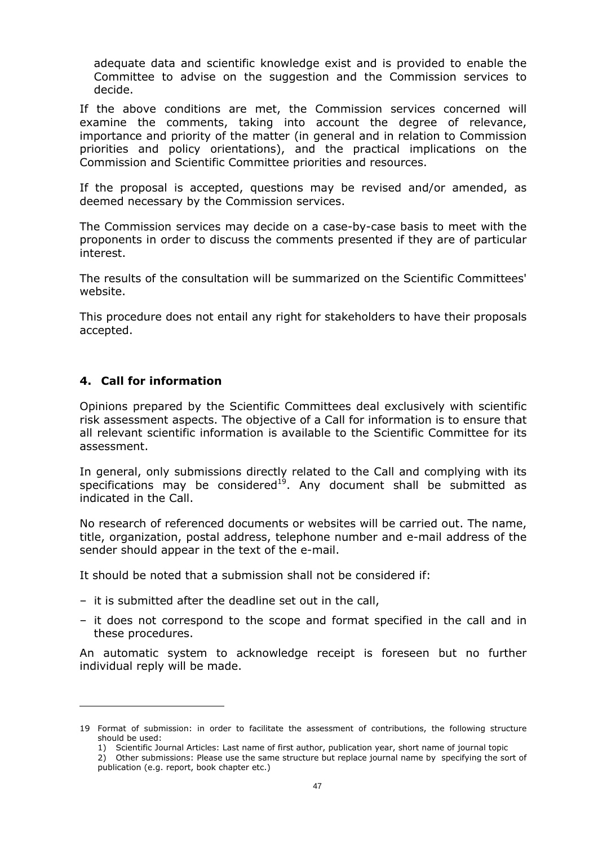adequate data and scientific knowledge exist and is provided to enable the Committee to advise on the suggestion and the Commission services to decide.

If the above conditions are met, the Commission services concerned will examine the comments, taking into account the degree of relevance, importance and priority of the matter (in general and in relation to Commission priorities and policy orientations), and the practical implications on the Commission and Scientific Committee priorities and resources.

If the proposal is accepted, questions may be revised and/or amended, as deemed necessary by the Commission services.

The Commission services may decide on a case-by-case basis to meet with the proponents in order to discuss the comments presented if they are of particular interest.

The results of the consultation will be summarized on the Scientific Committees' website.

This procedure does not entail any right for stakeholders to have their proposals accepted.

# **4. Call for information**

Opinions prepared by the Scientific Committees deal exclusively with scientific risk assessment aspects. The objective of a Call for information is to ensure that all relevant scientific information is available to the Scientific Committee for its assessment.

In general, only submissions directly related to the Call and complying with its specifications may be considered<sup>19</sup>. Any document shall be submitted as indicated in the Call.

No research of referenced documents or websites will be carried out. The name, title, organization, postal address, telephone number and e-mail address of the sender should appear in the text of the e-mail.

It should be noted that a submission shall not be considered if:

- it is submitted after the deadline set out in the call,
- it does not correspond to the scope and format specified in the call and in these procedures.

An automatic system to acknowledge receipt is foreseen but no further individual reply will be made.

<sup>19</sup> Format of submission: in order to facilitate the assessment of contributions, the following structure should be used:

 <sup>1)</sup> Scientific Journal Articles: Last name of first author, publication year, short name of journal topic

 <sup>2)</sup> Other submissions: Please use the same structure but replace journal name by specifying the sort of publication (e.g. report, book chapter etc.)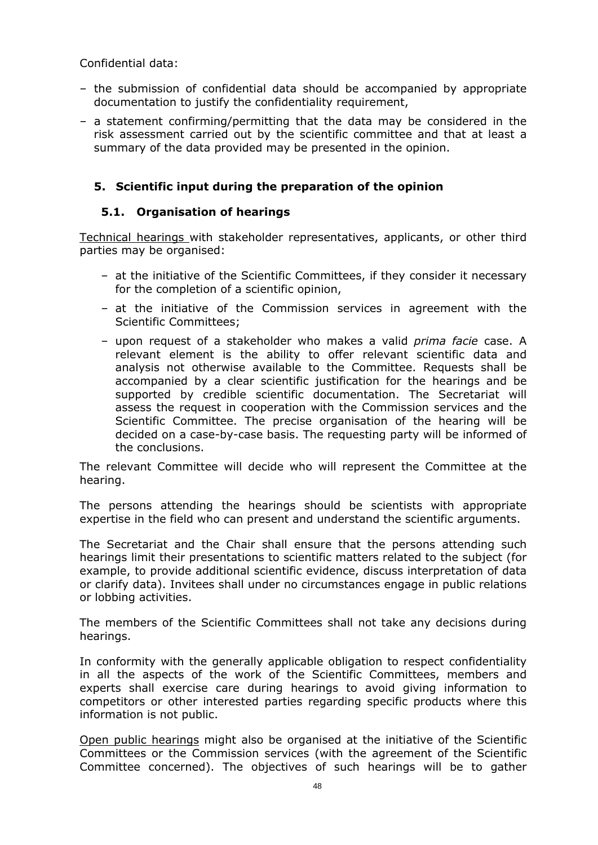Confidential data:

- the submission of confidential data should be accompanied by appropriate documentation to justify the confidentiality requirement,
- a statement confirming/permitting that the data may be considered in the risk assessment carried out by the scientific committee and that at least a summary of the data provided may be presented in the opinion.

# **5. Scientific input during the preparation of the opinion**

# **5.1. Organisation of hearings**

Technical hearings with stakeholder representatives, applicants, or other third parties may be organised:

- at the initiative of the Scientific Committees, if they consider it necessary for the completion of a scientific opinion,
- at the initiative of the Commission services in agreement with the Scientific Committees;
- upon request of a stakeholder who makes a valid *prima facie* case. A relevant element is the ability to offer relevant scientific data and analysis not otherwise available to the Committee. Requests shall be accompanied by a clear scientific justification for the hearings and be supported by credible scientific documentation. The Secretariat will assess the request in cooperation with the Commission services and the Scientific Committee. The precise organisation of the hearing will be decided on a case-by-case basis. The requesting party will be informed of the conclusions.

The relevant Committee will decide who will represent the Committee at the hearing.

The persons attending the hearings should be scientists with appropriate expertise in the field who can present and understand the scientific arguments.

The Secretariat and the Chair shall ensure that the persons attending such hearings limit their presentations to scientific matters related to the subject (for example, to provide additional scientific evidence, discuss interpretation of data or clarify data). Invitees shall under no circumstances engage in public relations or lobbing activities.

The members of the Scientific Committees shall not take any decisions during hearings.

In conformity with the generally applicable obligation to respect confidentiality in all the aspects of the work of the Scientific Committees, members and experts shall exercise care during hearings to avoid giving information to competitors or other interested parties regarding specific products where this information is not public.

Open public hearings might also be organised at the initiative of the Scientific Committees or the Commission services (with the agreement of the Scientific Committee concerned). The objectives of such hearings will be to gather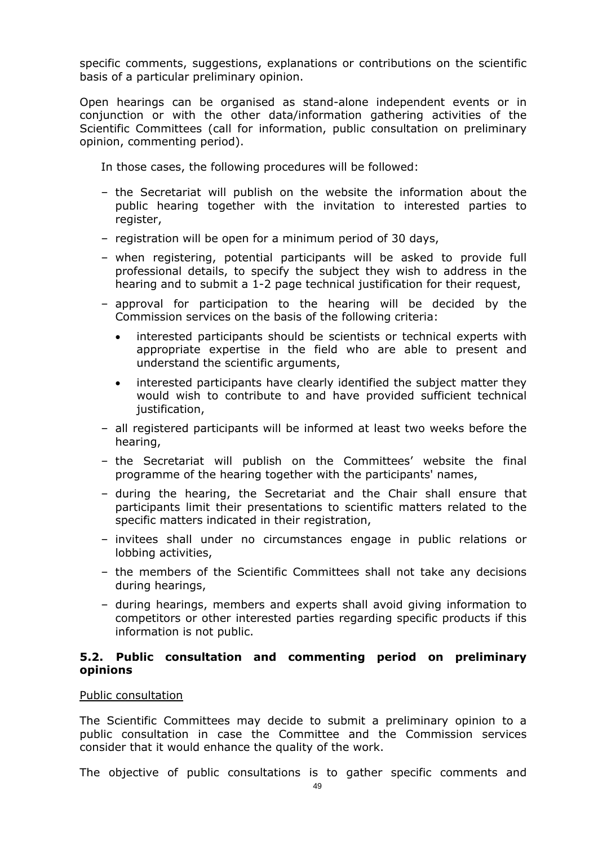specific comments, suggestions, explanations or contributions on the scientific basis of a particular preliminary opinion.

Open hearings can be organised as stand-alone independent events or in conjunction or with the other data/information gathering activities of the Scientific Committees (call for information, public consultation on preliminary opinion, commenting period).

In those cases, the following procedures will be followed:

- the Secretariat will publish on the website the information about the public hearing together with the invitation to interested parties to register,
- registration will be open for a minimum period of 30 days,
- when registering, potential participants will be asked to provide full professional details, to specify the subject they wish to address in the hearing and to submit a 1-2 page technical justification for their request,
- approval for participation to the hearing will be decided by the Commission services on the basis of the following criteria:
	- interested participants should be scientists or technical experts with appropriate expertise in the field who are able to present and understand the scientific arguments,
	- interested participants have clearly identified the subject matter they would wish to contribute to and have provided sufficient technical justification,
- all registered participants will be informed at least two weeks before the hearing,
- the Secretariat will publish on the Committees' website the final programme of the hearing together with the participants' names,
- during the hearing, the Secretariat and the Chair shall ensure that participants limit their presentations to scientific matters related to the specific matters indicated in their registration,
- invitees shall under no circumstances engage in public relations or lobbing activities,
- the members of the Scientific Committees shall not take any decisions during hearings,
- during hearings, members and experts shall avoid giving information to competitors or other interested parties regarding specific products if this information is not public.

#### **5.2. Public consultation and commenting period on preliminary opinions**

#### Public consultation

The Scientific Committees may decide to submit a preliminary opinion to a public consultation in case the Committee and the Commission services consider that it would enhance the quality of the work.

The objective of public consultations is to gather specific comments and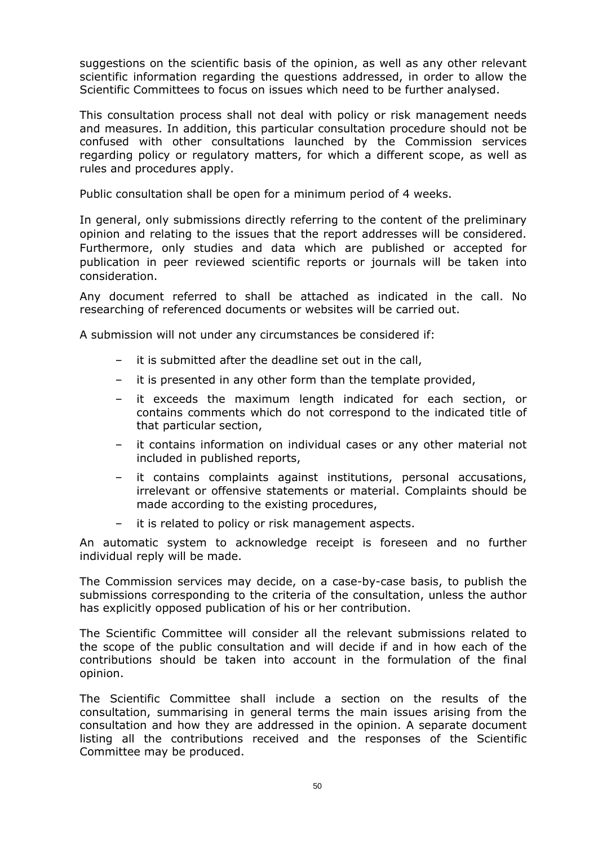suggestions on the scientific basis of the opinion, as well as any other relevant scientific information regarding the questions addressed, in order to allow the Scientific Committees to focus on issues which need to be further analysed.

This consultation process shall not deal with policy or risk management needs and measures. In addition, this particular consultation procedure should not be confused with other consultations launched by the Commission services regarding policy or regulatory matters, for which a different scope, as well as rules and procedures apply.

Public consultation shall be open for a minimum period of 4 weeks.

In general, only submissions directly referring to the content of the preliminary opinion and relating to the issues that the report addresses will be considered. Furthermore, only studies and data which are published or accepted for publication in peer reviewed scientific reports or journals will be taken into consideration.

Any document referred to shall be attached as indicated in the call. No researching of referenced documents or websites will be carried out.

A submission will not under any circumstances be considered if:

- it is submitted after the deadline set out in the call,
- it is presented in any other form than the template provided,
- it exceeds the maximum length indicated for each section, or contains comments which do not correspond to the indicated title of that particular section,
- it contains information on individual cases or any other material not included in published reports,
- it contains complaints against institutions, personal accusations, irrelevant or offensive statements or material. Complaints should be made according to the existing procedures,
- it is related to policy or risk management aspects.

An automatic system to acknowledge receipt is foreseen and no further individual reply will be made.

The Commission services may decide, on a case-by-case basis, to publish the submissions corresponding to the criteria of the consultation, unless the author has explicitly opposed publication of his or her contribution.

The Scientific Committee will consider all the relevant submissions related to the scope of the public consultation and will decide if and in how each of the contributions should be taken into account in the formulation of the final opinion.

The Scientific Committee shall include a section on the results of the consultation, summarising in general terms the main issues arising from the consultation and how they are addressed in the opinion. A separate document listing all the contributions received and the responses of the Scientific Committee may be produced.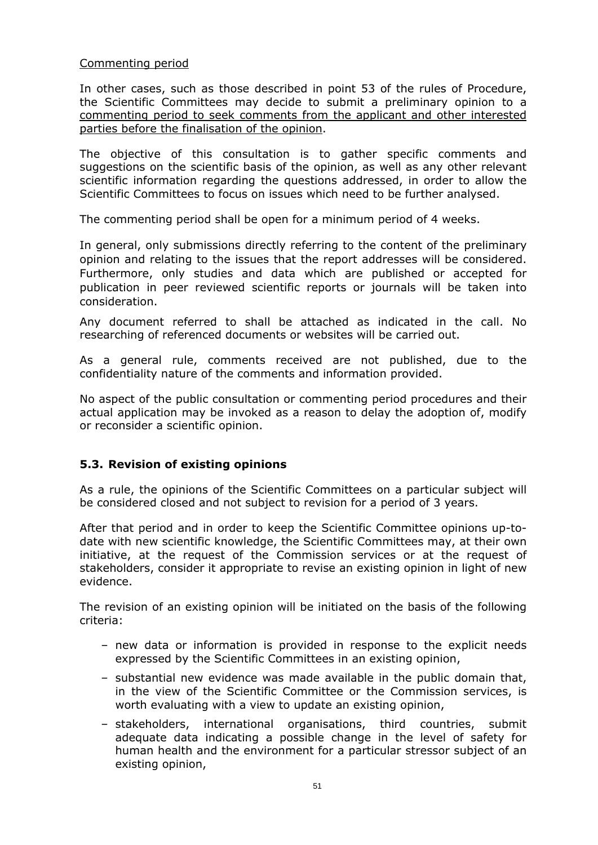# Commenting period

In other cases, such as those described in point 53 of the rules of Procedure, the Scientific Committees may decide to submit a preliminary opinion to a commenting period to seek comments from the applicant and other interested parties before the finalisation of the opinion.

The objective of this consultation is to gather specific comments and suggestions on the scientific basis of the opinion, as well as any other relevant scientific information regarding the questions addressed, in order to allow the Scientific Committees to focus on issues which need to be further analysed.

The commenting period shall be open for a minimum period of 4 weeks.

In general, only submissions directly referring to the content of the preliminary opinion and relating to the issues that the report addresses will be considered. Furthermore, only studies and data which are published or accepted for publication in peer reviewed scientific reports or journals will be taken into consideration.

Any document referred to shall be attached as indicated in the call. No researching of referenced documents or websites will be carried out.

As a general rule, comments received are not published, due to the confidentiality nature of the comments and information provided.

No aspect of the public consultation or commenting period procedures and their actual application may be invoked as a reason to delay the adoption of, modify or reconsider a scientific opinion.

# **5.3. Revision of existing opinions**

As a rule, the opinions of the Scientific Committees on a particular subject will be considered closed and not subject to revision for a period of 3 years.

After that period and in order to keep the Scientific Committee opinions up-todate with new scientific knowledge, the Scientific Committees may, at their own initiative, at the request of the Commission services or at the request of stakeholders, consider it appropriate to revise an existing opinion in light of new evidence.

The revision of an existing opinion will be initiated on the basis of the following criteria:

- new data or information is provided in response to the explicit needs expressed by the Scientific Committees in an existing opinion,
- substantial new evidence was made available in the public domain that, in the view of the Scientific Committee or the Commission services, is worth evaluating with a view to update an existing opinion,
- stakeholders, international organisations, third countries, submit adequate data indicating a possible change in the level of safety for human health and the environment for a particular stressor subject of an existing opinion,